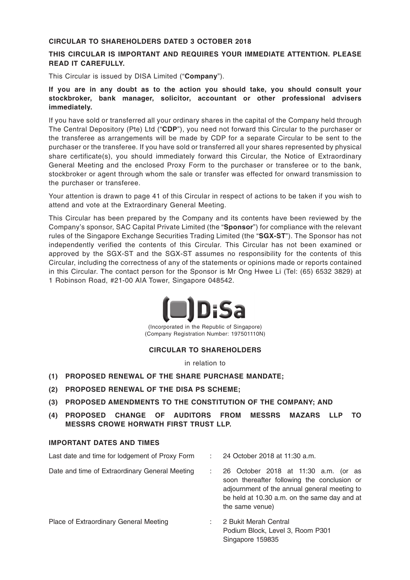#### **CIRCULAR TO SHAREHOLDERS DATED 3 OCTOBER 2018**

### **THIS CIRCULAR IS IMPORTANT AND REQUIRES YOUR IMMEDIATE ATTENTION. PLEASE READ IT CAREFULLY.**

This Circular is issued by DISA Limited ("**Company**").

**If you are in any doubt as to the action you should take, you should consult your stockbroker, bank manager, solicitor, accountant or other professional advisers immediately.**

If you have sold or transferred all your ordinary shares in the capital of the Company held through The Central Depository (Pte) Ltd ("**CDP**"), you need not forward this Circular to the purchaser or the transferee as arrangements will be made by CDP for a separate Circular to be sent to the purchaser or the transferee. If you have sold or transferred all your shares represented by physical share certificate(s), you should immediately forward this Circular, the Notice of Extraordinary General Meeting and the enclosed Proxy Form to the purchaser or transferee or to the bank, stockbroker or agent through whom the sale or transfer was effected for onward transmission to the purchaser or transferee.

Your attention is drawn to page 41 of this Circular in respect of actions to be taken if you wish to attend and vote at the Extraordinary General Meeting.

This Circular has been prepared by the Company and its contents have been reviewed by the Company's sponsor, SAC Capital Private Limited (the "**Sponsor**") for compliance with the relevant rules of the Singapore Exchange Securities Trading Limited (the "**SGX-ST**"). The Sponsor has not independently verified the contents of this Circular. This Circular has not been examined or approved by the SGX-ST and the SGX-ST assumes no responsibility for the contents of this Circular, including the correctness of any of the statements or opinions made or reports contained in this Circular. The contact person for the Sponsor is Mr Ong Hwee Li (Tel: (65) 6532 3829) at 1 Robinson Road, #21-00 AIA Tower, Singapore 048542.



(Incorporated in the Republic of Singapore) (Company Registration Number: 197501110N)

### **CIRCULAR TO SHAREHOLDERS**

in relation to

- **(1) PROPOSED RENEWAL OF THE SHARE PURCHASE MANDATE;**
- **(2) PROPOSED RENEWAL OF THE DISA PS SCHEME;**
- **(3) PROPOSED AMENDMENTS TO THE CONSTITUTION OF THE COMPANY; AND**
- **(4) PROPOSED CHANGE OF AUDITORS FROM MESSRS MAZARS LLP TO MESSRS CROWE HORWATH FIRST TRUST LLP.**

### **IMPORTANT DATES AND TIMES**

| Last date and time for lodgement of Proxy Form | 24 October 2018 at 11:30 a.m.<br>÷.                                                                                                                                                                    |
|------------------------------------------------|--------------------------------------------------------------------------------------------------------------------------------------------------------------------------------------------------------|
| Date and time of Extraordinary General Meeting | 26 October 2018 at 11:30 a.m. (or as<br>soon thereafter following the conclusion or<br>adjournment of the annual general meeting to<br>be held at 10.30 a.m. on the same day and at<br>the same venue) |
| Place of Extraordinary General Meeting         | 2 Bukit Merah Central<br>Podium Block, Level 3, Room P301                                                                                                                                              |

Singapore 159835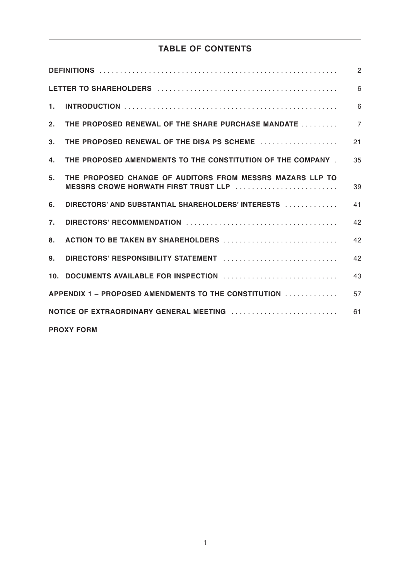# **TABLE OF CONTENTS**

|                                               |                                                                                                          | $\overline{2}$ |  |  |  |
|-----------------------------------------------|----------------------------------------------------------------------------------------------------------|----------------|--|--|--|
|                                               |                                                                                                          | 6              |  |  |  |
| 1.                                            |                                                                                                          | 6              |  |  |  |
| 2.                                            | THE PROPOSED RENEWAL OF THE SHARE PURCHASE MANDATE                                                       | $\overline{7}$ |  |  |  |
| 3 <sub>1</sub>                                | THE PROPOSED RENEWAL OF THE DISA PS SCHEME                                                               | 21             |  |  |  |
| 4.                                            | THE PROPOSED AMENDMENTS TO THE CONSTITUTION OF THE COMPANY                                               | 35             |  |  |  |
| 5.                                            | THE PROPOSED CHANGE OF AUDITORS FROM MESSRS MAZARS LLP TO<br><b>MESSRS CROWE HORWATH FIRST TRUST LLP</b> | 39             |  |  |  |
| 6.                                            | DIRECTORS' AND SUBSTANTIAL SHAREHOLDERS' INTERESTS                                                       | 41             |  |  |  |
| $\mathbf{7}$ .                                |                                                                                                          | 42             |  |  |  |
| 8.                                            | ACTION TO BE TAKEN BY SHAREHOLDERS                                                                       | 42             |  |  |  |
| 9.                                            |                                                                                                          | 42             |  |  |  |
|                                               |                                                                                                          | 43             |  |  |  |
|                                               | APPENDIX 1 – PROPOSED AMENDMENTS TO THE CONSTITUTION                                                     | 57             |  |  |  |
| NOTICE OF EXTRAORDINARY GENERAL MEETING<br>61 |                                                                                                          |                |  |  |  |
|                                               | <b>PROXY FORM</b>                                                                                        |                |  |  |  |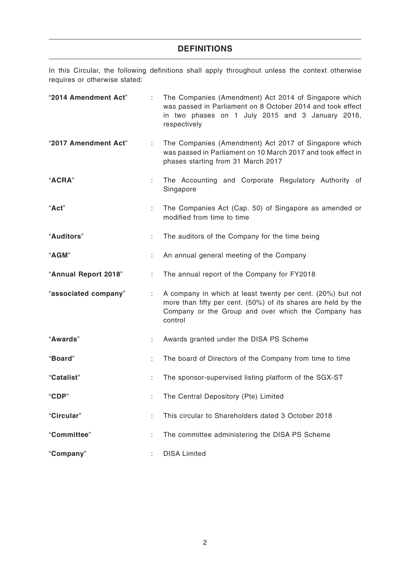## **DEFINITIONS**

In this Circular, the following definitions shall apply throughout unless the context otherwise requires or otherwise stated:

| "2014 Amendment Act" | ÷  | The Companies (Amendment) Act 2014 of Singapore which<br>was passed in Parliament on 8 October 2014 and took effect<br>in two phases on 1 July 2015 and 3 January 2016,<br>respectively       |
|----------------------|----|-----------------------------------------------------------------------------------------------------------------------------------------------------------------------------------------------|
| "2017 Amendment Act" | ÷  | The Companies (Amendment) Act 2017 of Singapore which<br>was passed in Parliament on 10 March 2017 and took effect in<br>phases starting from 31 March 2017                                   |
| "ACRA"               | ÷. | The Accounting and Corporate Regulatory Authority of<br>Singapore                                                                                                                             |
| "Act"                | ÷. | The Companies Act (Cap. 50) of Singapore as amended or<br>modified from time to time                                                                                                          |
| "Auditors"           | ÷  | The auditors of the Company for the time being                                                                                                                                                |
| "AGM"                |    | An annual general meeting of the Company                                                                                                                                                      |
| "Annual Report 2018" | ÷  | The annual report of the Company for FY2018                                                                                                                                                   |
| "associated company" | ÷  | A company in which at least twenty per cent. (20%) but not<br>more than fifty per cent. (50%) of its shares are held by the<br>Company or the Group and over which the Company has<br>control |
| "Awards"             | ÷  | Awards granted under the DISA PS Scheme                                                                                                                                                       |
| "Board"              | ÷  | The board of Directors of the Company from time to time                                                                                                                                       |
| "Catalist"           |    | The sponsor-supervised listing platform of the SGX-ST                                                                                                                                         |
| "CDP"                | ÷  | The Central Depository (Pte) Limited                                                                                                                                                          |
| "Circular"           |    | This circular to Shareholders dated 3 October 2018                                                                                                                                            |
| "Committee"          |    | The committee administering the DISA PS Scheme                                                                                                                                                |
| "Company"            |    | <b>DISA Limited</b>                                                                                                                                                                           |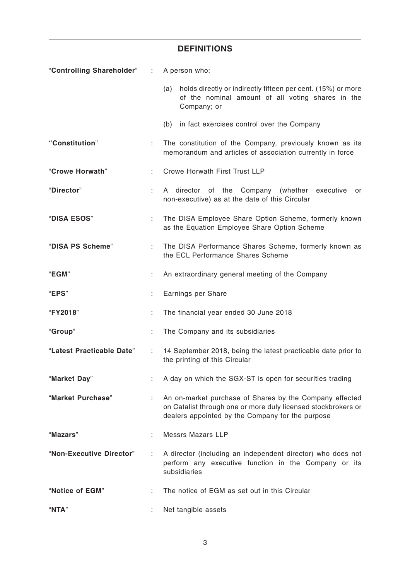|                           |    | <b>DEFINITIONS</b>                                                                                                                                                           |  |  |  |
|---------------------------|----|------------------------------------------------------------------------------------------------------------------------------------------------------------------------------|--|--|--|
| "Controlling Shareholder" | ÷. | A person who:                                                                                                                                                                |  |  |  |
|                           |    | holds directly or indirectly fifteen per cent. (15%) or more<br>(a)<br>of the nominal amount of all voting shares in the<br>Company; or                                      |  |  |  |
|                           |    | (b)<br>in fact exercises control over the Company                                                                                                                            |  |  |  |
| "Constitution"            | ÷  | The constitution of the Company, previously known as its<br>memorandum and articles of association currently in force                                                        |  |  |  |
| "Crowe Horwath"           |    | Crowe Horwath First Trust LLP                                                                                                                                                |  |  |  |
| "Director"                | ÷. | A director of the Company (whether executive<br>or<br>non-executive) as at the date of this Circular                                                                         |  |  |  |
| "DISA ESOS"               | ÷. | The DISA Employee Share Option Scheme, formerly known<br>as the Equation Employee Share Option Scheme                                                                        |  |  |  |
| "DISA PS Scheme"          | ÷. | The DISA Performance Shares Scheme, formerly known as<br>the ECL Performance Shares Scheme                                                                                   |  |  |  |
| "EGM"                     |    | An extraordinary general meeting of the Company                                                                                                                              |  |  |  |
| "EPS"                     | ÷. | Earnings per Share                                                                                                                                                           |  |  |  |
| "FY2018"                  | ÷  | The financial year ended 30 June 2018                                                                                                                                        |  |  |  |
| "Group"                   |    | The Company and its subsidiaries                                                                                                                                             |  |  |  |
| "Latest Practicable Date" |    | 14 September 2018, being the latest practicable date prior to<br>the printing of this Circular                                                                               |  |  |  |
| "Market Day"              |    | A day on which the SGX-ST is open for securities trading                                                                                                                     |  |  |  |
| "Market Purchase"         | ÷  | An on-market purchase of Shares by the Company effected<br>on Catalist through one or more duly licensed stockbrokers or<br>dealers appointed by the Company for the purpose |  |  |  |
| "Mazars"                  |    | <b>Messrs Mazars LLP</b>                                                                                                                                                     |  |  |  |
| "Non-Executive Director"  |    | A director (including an independent director) who does not<br>perform any executive function in the Company or its<br>subsidiaries                                          |  |  |  |
| "Notice of EGM"           |    | The notice of EGM as set out in this Circular                                                                                                                                |  |  |  |
| "NTA"                     |    | Net tangible assets                                                                                                                                                          |  |  |  |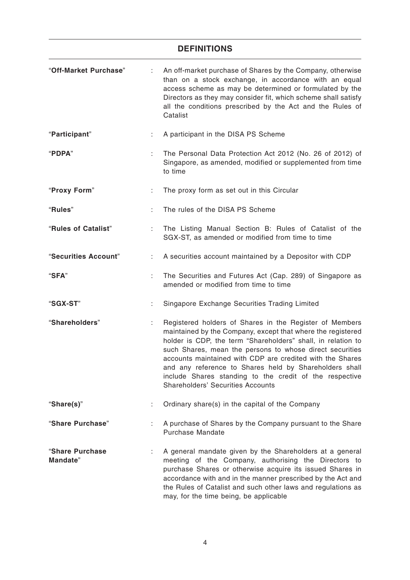### **DEFINITIONS**

| "Off-Market Purchase"       |    | An off-market purchase of Shares by the Company, otherwise<br>than on a stock exchange, in accordance with an equal<br>access scheme as may be determined or formulated by the<br>Directors as they may consider fit, which scheme shall satisfy<br>all the conditions prescribed by the Act and the Rules of<br>Catalist                                                                                                                                                        |  |  |
|-----------------------------|----|----------------------------------------------------------------------------------------------------------------------------------------------------------------------------------------------------------------------------------------------------------------------------------------------------------------------------------------------------------------------------------------------------------------------------------------------------------------------------------|--|--|
| "Participant"               |    | A participant in the DISA PS Scheme                                                                                                                                                                                                                                                                                                                                                                                                                                              |  |  |
| "PDPA"                      |    | The Personal Data Protection Act 2012 (No. 26 of 2012) of<br>Singapore, as amended, modified or supplemented from time<br>to time                                                                                                                                                                                                                                                                                                                                                |  |  |
| "Proxy Form"                | t. | The proxy form as set out in this Circular                                                                                                                                                                                                                                                                                                                                                                                                                                       |  |  |
| "Rules"                     |    | The rules of the DISA PS Scheme                                                                                                                                                                                                                                                                                                                                                                                                                                                  |  |  |
| "Rules of Catalist"         | t  | The Listing Manual Section B: Rules of Catalist of the<br>SGX-ST, as amended or modified from time to time                                                                                                                                                                                                                                                                                                                                                                       |  |  |
| "Securities Account"        | ÷. | A securities account maintained by a Depositor with CDP                                                                                                                                                                                                                                                                                                                                                                                                                          |  |  |
| "SFA"                       | ÷. | The Securities and Futures Act (Cap. 289) of Singapore as<br>amended or modified from time to time                                                                                                                                                                                                                                                                                                                                                                               |  |  |
| "SGX-ST"                    | ÷. | Singapore Exchange Securities Trading Limited                                                                                                                                                                                                                                                                                                                                                                                                                                    |  |  |
| "Shareholders"              | ÷  | Registered holders of Shares in the Register of Members<br>maintained by the Company, except that where the registered<br>holder is CDP, the term "Shareholders" shall, in relation to<br>such Shares, mean the persons to whose direct securities<br>accounts maintained with CDP are credited with the Shares<br>and any reference to Shares held by Shareholders shall<br>include Shares standing to the credit of the respective<br><b>Shareholders' Securities Accounts</b> |  |  |
| "Share(s)"                  |    | Ordinary share(s) in the capital of the Company                                                                                                                                                                                                                                                                                                                                                                                                                                  |  |  |
| "Share Purchase"            | ÷. | A purchase of Shares by the Company pursuant to the Share<br>Purchase Mandate                                                                                                                                                                                                                                                                                                                                                                                                    |  |  |
| "Share Purchase<br>Mandate" |    | A general mandate given by the Shareholders at a general<br>meeting of the Company, authorising the Directors to<br>purchase Shares or otherwise acquire its issued Shares in<br>accordance with and in the manner prescribed by the Act and<br>the Rules of Catalist and such other laws and regulations as<br>may, for the time being, be applicable                                                                                                                           |  |  |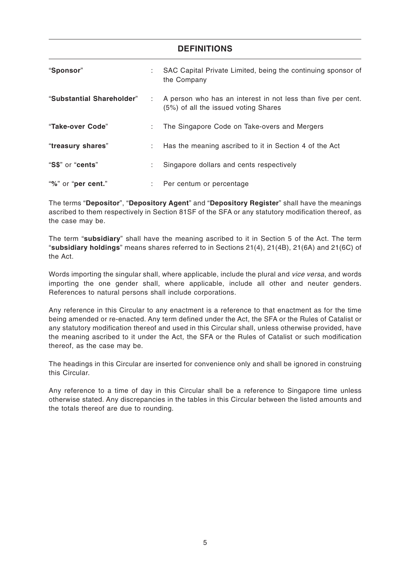| <b>DEFINITIONS</b>        |    |                                                                                                        |  |  |
|---------------------------|----|--------------------------------------------------------------------------------------------------------|--|--|
| "Sponsor"                 |    | SAC Capital Private Limited, being the continuing sponsor of<br>the Company                            |  |  |
| "Substantial Shareholder" |    | : A person who has an interest in not less than five per cent.<br>(5%) of all the issued voting Shares |  |  |
| "Take-over Code"          | ÷. | The Singapore Code on Take-overs and Mergers                                                           |  |  |
| "treasury shares"         |    | Has the meaning ascribed to it in Section 4 of the Act                                                 |  |  |
| "S\$" or "cents"          | ÷. | Singapore dollars and cents respectively                                                               |  |  |
| "%" or "per cent."        |    | : Per centum or percentage                                                                             |  |  |

The terms "**Depositor**", "**Depository Agent**" and "**Depository Register**" shall have the meanings ascribed to them respectively in Section 81SF of the SFA or any statutory modification thereof, as the case may be.

The term "**subsidiary**" shall have the meaning ascribed to it in Section 5 of the Act. The term "**subsidiary holdings**" means shares referred to in Sections 21(4), 21(4B), 21(6A) and 21(6C) of the Act.

Words importing the singular shall, where applicable, include the plural and vice versa, and words importing the one gender shall, where applicable, include all other and neuter genders. References to natural persons shall include corporations.

Any reference in this Circular to any enactment is a reference to that enactment as for the time being amended or re-enacted. Any term defined under the Act, the SFA or the Rules of Catalist or any statutory modification thereof and used in this Circular shall, unless otherwise provided, have the meaning ascribed to it under the Act, the SFA or the Rules of Catalist or such modification thereof, as the case may be.

The headings in this Circular are inserted for convenience only and shall be ignored in construing this Circular.

Any reference to a time of day in this Circular shall be a reference to Singapore time unless otherwise stated. Any discrepancies in the tables in this Circular between the listed amounts and the totals thereof are due to rounding.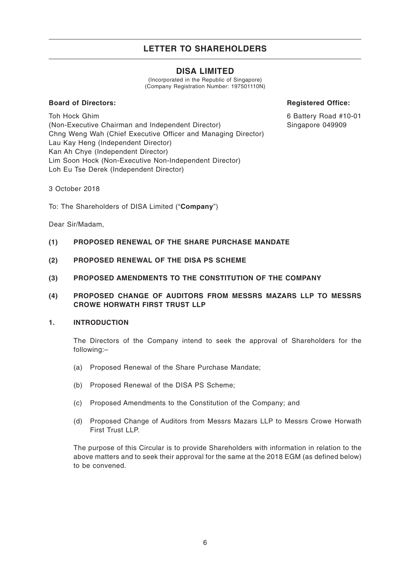### **DISA LIMITED**

(Incorporated in the Republic of Singapore) (Company Registration Number: 197501110N)

### **Board of Directors:**

**Registered Office:**

6 Battery Road #10-01 Singapore 049909

Toh Hock Ghim (Non-Executive Chairman and Independent Director) Chng Weng Wah (Chief Executive Officer and Managing Director) Lau Kay Heng (Independent Director) Kan Ah Chye (Independent Director) Lim Soon Hock (Non-Executive Non-Independent Director) Loh Eu Tse Derek (Independent Director)

3 October 2018

To: The Shareholders of DISA Limited ("**Company**")

Dear Sir/Madam,

- **(1) PROPOSED RENEWAL OF THE SHARE PURCHASE MANDATE**
- **(2) PROPOSED RENEWAL OF THE DISA PS SCHEME**
- **(3) PROPOSED AMENDMENTS TO THE CONSTITUTION OF THE COMPANY**
- **(4) PROPOSED CHANGE OF AUDITORS FROM MESSRS MAZARS LLP TO MESSRS CROWE HORWATH FIRST TRUST LLP**

### **1. INTRODUCTION**

The Directors of the Company intend to seek the approval of Shareholders for the following:–

- (a) Proposed Renewal of the Share Purchase Mandate;
- (b) Proposed Renewal of the DISA PS Scheme;
- (c) Proposed Amendments to the Constitution of the Company; and
- (d) Proposed Change of Auditors from Messrs Mazars LLP to Messrs Crowe Horwath First Trust LLP.

The purpose of this Circular is to provide Shareholders with information in relation to the above matters and to seek their approval for the same at the 2018 EGM (as defined below) to be convened.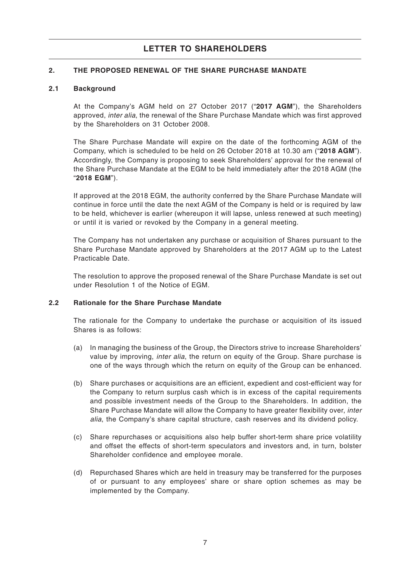### **2. THE PROPOSED RENEWAL OF THE SHARE PURCHASE MANDATE**

### **2.1 Background**

At the Company's AGM held on 27 October 2017 ("**2017 AGM**"), the Shareholders approved, inter alia, the renewal of the Share Purchase Mandate which was first approved by the Shareholders on 31 October 2008.

The Share Purchase Mandate will expire on the date of the forthcoming AGM of the Company, which is scheduled to be held on 26 October 2018 at 10.30 am ("**2018 AGM**"). Accordingly, the Company is proposing to seek Shareholders' approval for the renewal of the Share Purchase Mandate at the EGM to be held immediately after the 2018 AGM (the "**2018 EGM**").

If approved at the 2018 EGM, the authority conferred by the Share Purchase Mandate will continue in force until the date the next AGM of the Company is held or is required by law to be held, whichever is earlier (whereupon it will lapse, unless renewed at such meeting) or until it is varied or revoked by the Company in a general meeting.

The Company has not undertaken any purchase or acquisition of Shares pursuant to the Share Purchase Mandate approved by Shareholders at the 2017 AGM up to the Latest Practicable Date.

The resolution to approve the proposed renewal of the Share Purchase Mandate is set out under Resolution 1 of the Notice of EGM.

### **2.2 Rationale for the Share Purchase Mandate**

The rationale for the Company to undertake the purchase or acquisition of its issued Shares is as follows:

- (a) In managing the business of the Group, the Directors strive to increase Shareholders' value by improving, inter alia, the return on equity of the Group. Share purchase is one of the ways through which the return on equity of the Group can be enhanced.
- (b) Share purchases or acquisitions are an efficient, expedient and cost-efficient way for the Company to return surplus cash which is in excess of the capital requirements and possible investment needs of the Group to the Shareholders. In addition, the Share Purchase Mandate will allow the Company to have greater flexibility over, inter alia, the Company's share capital structure, cash reserves and its dividend policy.
- (c) Share repurchases or acquisitions also help buffer short-term share price volatility and offset the effects of short-term speculators and investors and, in turn, bolster Shareholder confidence and employee morale.
- (d) Repurchased Shares which are held in treasury may be transferred for the purposes of or pursuant to any employees' share or share option schemes as may be implemented by the Company.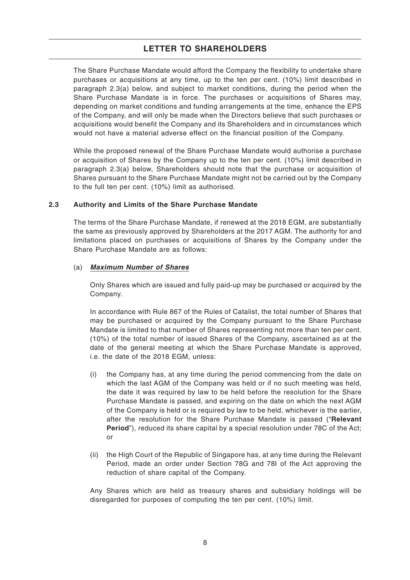The Share Purchase Mandate would afford the Company the flexibility to undertake share purchases or acquisitions at any time, up to the ten per cent. (10%) limit described in paragraph 2.3(a) below, and subject to market conditions, during the period when the Share Purchase Mandate is in force. The purchases or acquisitions of Shares may, depending on market conditions and funding arrangements at the time, enhance the EPS of the Company, and will only be made when the Directors believe that such purchases or acquisitions would benefit the Company and its Shareholders and in circumstances which would not have a material adverse effect on the financial position of the Company.

While the proposed renewal of the Share Purchase Mandate would authorise a purchase or acquisition of Shares by the Company up to the ten per cent. (10%) limit described in paragraph 2.3(a) below, Shareholders should note that the purchase or acquisition of Shares pursuant to the Share Purchase Mandate might not be carried out by the Company to the full ten per cent. (10%) limit as authorised.

### **2.3 Authority and Limits of the Share Purchase Mandate**

The terms of the Share Purchase Mandate, if renewed at the 2018 EGM, are substantially the same as previously approved by Shareholders at the 2017 AGM. The authority for and limitations placed on purchases or acquisitions of Shares by the Company under the Share Purchase Mandate are as follows:

### (a) **Maximum Number of Shares**

Only Shares which are issued and fully paid-up may be purchased or acquired by the Company.

In accordance with Rule 867 of the Rules of Catalist, the total number of Shares that may be purchased or acquired by the Company pursuant to the Share Purchase Mandate is limited to that number of Shares representing not more than ten per cent. (10%) of the total number of issued Shares of the Company, ascertained as at the date of the general meeting at which the Share Purchase Mandate is approved, i.e. the date of the 2018 EGM, unless:

- (i) the Company has, at any time during the period commencing from the date on which the last AGM of the Company was held or if no such meeting was held, the date it was required by law to be held before the resolution for the Share Purchase Mandate is passed, and expiring on the date on which the next AGM of the Company is held or is required by law to be held, whichever is the earlier, after the resolution for the Share Purchase Mandate is passed ("**Relevant Period**"), reduced its share capital by a special resolution under 78C of the Act; or
- (ii) the High Court of the Republic of Singapore has, at any time during the Relevant Period, made an order under Section 78G and 78I of the Act approving the reduction of share capital of the Company.

Any Shares which are held as treasury shares and subsidiary holdings will be disregarded for purposes of computing the ten per cent. (10%) limit.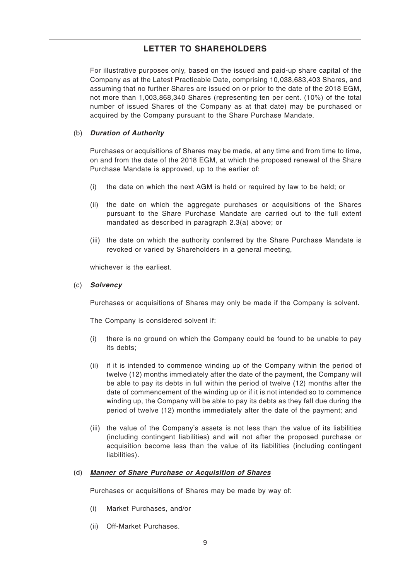For illustrative purposes only, based on the issued and paid-up share capital of the Company as at the Latest Practicable Date, comprising 10,038,683,403 Shares, and assuming that no further Shares are issued on or prior to the date of the 2018 EGM, not more than 1,003,868,340 Shares (representing ten per cent. (10%) of the total number of issued Shares of the Company as at that date) may be purchased or acquired by the Company pursuant to the Share Purchase Mandate.

### (b) **Duration of Authority**

Purchases or acquisitions of Shares may be made, at any time and from time to time, on and from the date of the 2018 EGM, at which the proposed renewal of the Share Purchase Mandate is approved, up to the earlier of:

- (i) the date on which the next AGM is held or required by law to be held; or
- (ii) the date on which the aggregate purchases or acquisitions of the Shares pursuant to the Share Purchase Mandate are carried out to the full extent mandated as described in paragraph 2.3(a) above; or
- (iii) the date on which the authority conferred by the Share Purchase Mandate is revoked or varied by Shareholders in a general meeting,

whichever is the earliest.

### (c) **Solvency**

Purchases or acquisitions of Shares may only be made if the Company is solvent.

The Company is considered solvent if:

- (i) there is no ground on which the Company could be found to be unable to pay its debts;
- (ii) if it is intended to commence winding up of the Company within the period of twelve (12) months immediately after the date of the payment, the Company will be able to pay its debts in full within the period of twelve (12) months after the date of commencement of the winding up or if it is not intended so to commence winding up, the Company will be able to pay its debts as they fall due during the period of twelve (12) months immediately after the date of the payment; and
- (iii) the value of the Company's assets is not less than the value of its liabilities (including contingent liabilities) and will not after the proposed purchase or acquisition become less than the value of its liabilities (including contingent liabilities).

### (d) **Manner of Share Purchase or Acquisition of Shares**

Purchases or acquisitions of Shares may be made by way of:

- (i) Market Purchases, and/or
- (ii) Off-Market Purchases.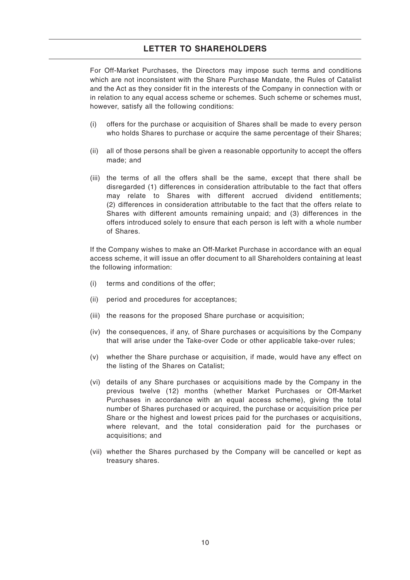For Off-Market Purchases, the Directors may impose such terms and conditions which are not inconsistent with the Share Purchase Mandate, the Rules of Catalist and the Act as they consider fit in the interests of the Company in connection with or in relation to any equal access scheme or schemes. Such scheme or schemes must, however, satisfy all the following conditions:

- (i) offers for the purchase or acquisition of Shares shall be made to every person who holds Shares to purchase or acquire the same percentage of their Shares;
- (ii) all of those persons shall be given a reasonable opportunity to accept the offers made; and
- (iii) the terms of all the offers shall be the same, except that there shall be disregarded (1) differences in consideration attributable to the fact that offers may relate to Shares with different accrued dividend entitlements; (2) differences in consideration attributable to the fact that the offers relate to Shares with different amounts remaining unpaid; and (3) differences in the offers introduced solely to ensure that each person is left with a whole number of Shares.

If the Company wishes to make an Off-Market Purchase in accordance with an equal access scheme, it will issue an offer document to all Shareholders containing at least the following information:

- (i) terms and conditions of the offer;
- (ii) period and procedures for acceptances;
- (iii) the reasons for the proposed Share purchase or acquisition;
- (iv) the consequences, if any, of Share purchases or acquisitions by the Company that will arise under the Take-over Code or other applicable take-over rules;
- (v) whether the Share purchase or acquisition, if made, would have any effect on the listing of the Shares on Catalist;
- (vi) details of any Share purchases or acquisitions made by the Company in the previous twelve (12) months (whether Market Purchases or Off-Market Purchases in accordance with an equal access scheme), giving the total number of Shares purchased or acquired, the purchase or acquisition price per Share or the highest and lowest prices paid for the purchases or acquisitions, where relevant, and the total consideration paid for the purchases or acquisitions; and
- (vii) whether the Shares purchased by the Company will be cancelled or kept as treasury shares.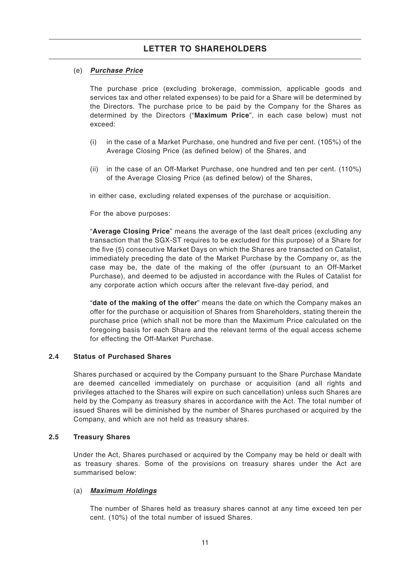### (e) **Purchase Price**

The purchase price (excluding brokerage, commission, applicable goods and services tax and other related expenses) to be paid for a Share will be determined by the Directors. The purchase price to be paid by the Company for the Shares as determined by the Directors ("**Maximum Price**", in each case below) must not exceed:

- (i) in the case of a Market Purchase, one hundred and five per cent. (105%) of the Average Closing Price (as defined below) of the Shares, and
- (ii) in the case of an Off-Market Purchase, one hundred and ten per cent. (110%) of the Average Closing Price (as defined below) of the Shares,

in either case, excluding related expenses of the purchase or acquisition.

For the above purposes:

"**Average Closing Price**" means the average of the last dealt prices (excluding any transaction that the SGX-ST requires to be excluded for this purpose) of a Share for the five (5) consecutive Market Days on which the Shares are transacted on Catalist, immediately preceding the date of the Market Purchase by the Company or, as the case may be, the date of the making of the offer (pursuant to an Off-Market Purchase), and deemed to be adjusted in accordance with the Rules of Catalist for any corporate action which occurs after the relevant five-day period, and

"**date of the making of the offer**" means the date on which the Company makes an offer for the purchase or acquisition of Shares from Shareholders, stating therein the purchase price (which shall not be more than the Maximum Price calculated on the foregoing basis for each Share and the relevant terms of the equal access scheme for effecting the Off-Market Purchase.

### **2.4 Status of Purchased Shares**

Shares purchased or acquired by the Company pursuant to the Share Purchase Mandate are deemed cancelled immediately on purchase or acquisition (and all rights and privileges attached to the Shares will expire on such cancellation) unless such Shares are held by the Company as treasury shares in accordance with the Act. The total number of issued Shares will be diminished by the number of Shares purchased or acquired by the Company, and which are not held as treasury shares.

#### **2.5 Treasury Shares**

Under the Act, Shares purchased or acquired by the Company may be held or dealt with as treasury shares. Some of the provisions on treasury shares under the Act are summarised below:

#### (a) **Maximum Holdings**

The number of Shares held as treasury shares cannot at any time exceed ten per cent. (10%) of the total number of issued Shares.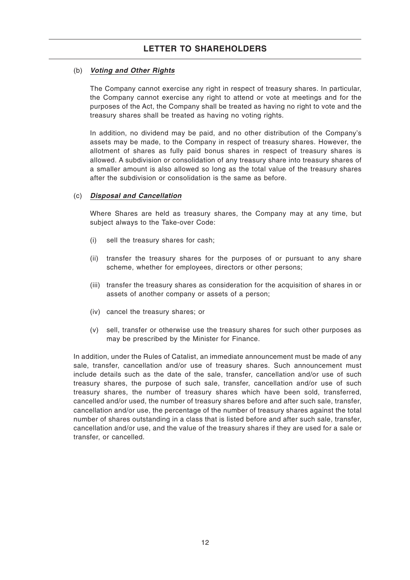### (b) **Voting and Other Rights**

The Company cannot exercise any right in respect of treasury shares. In particular, the Company cannot exercise any right to attend or vote at meetings and for the purposes of the Act, the Company shall be treated as having no right to vote and the treasury shares shall be treated as having no voting rights.

In addition, no dividend may be paid, and no other distribution of the Company's assets may be made, to the Company in respect of treasury shares. However, the allotment of shares as fully paid bonus shares in respect of treasury shares is allowed. A subdivision or consolidation of any treasury share into treasury shares of a smaller amount is also allowed so long as the total value of the treasury shares after the subdivision or consolidation is the same as before.

### (c) **Disposal and Cancellation**

Where Shares are held as treasury shares, the Company may at any time, but subject always to the Take-over Code:

- (i) sell the treasury shares for cash;
- (ii) transfer the treasury shares for the purposes of or pursuant to any share scheme, whether for employees, directors or other persons;
- (iii) transfer the treasury shares as consideration for the acquisition of shares in or assets of another company or assets of a person;
- (iv) cancel the treasury shares; or
- (v) sell, transfer or otherwise use the treasury shares for such other purposes as may be prescribed by the Minister for Finance.

In addition, under the Rules of Catalist, an immediate announcement must be made of any sale, transfer, cancellation and/or use of treasury shares. Such announcement must include details such as the date of the sale, transfer, cancellation and/or use of such treasury shares, the purpose of such sale, transfer, cancellation and/or use of such treasury shares, the number of treasury shares which have been sold, transferred, cancelled and/or used, the number of treasury shares before and after such sale, transfer, cancellation and/or use, the percentage of the number of treasury shares against the total number of shares outstanding in a class that is listed before and after such sale, transfer, cancellation and/or use, and the value of the treasury shares if they are used for a sale or transfer, or cancelled.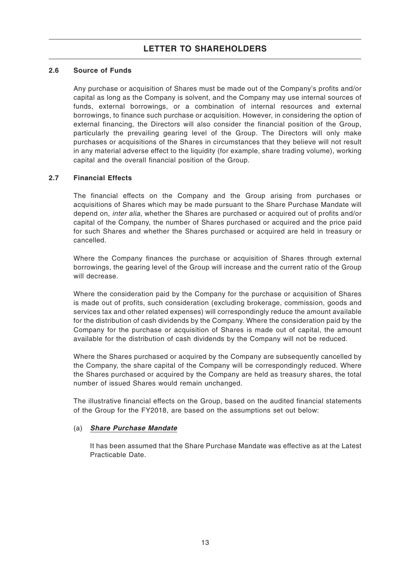### **2.6 Source of Funds**

Any purchase or acquisition of Shares must be made out of the Company's profits and/or capital as long as the Company is solvent, and the Company may use internal sources of funds, external borrowings, or a combination of internal resources and external borrowings, to finance such purchase or acquisition. However, in considering the option of external financing, the Directors will also consider the financial position of the Group, particularly the prevailing gearing level of the Group. The Directors will only make purchases or acquisitions of the Shares in circumstances that they believe will not result in any material adverse effect to the liquidity (for example, share trading volume), working capital and the overall financial position of the Group.

### **2.7 Financial Effects**

The financial effects on the Company and the Group arising from purchases or acquisitions of Shares which may be made pursuant to the Share Purchase Mandate will depend on, inter alia, whether the Shares are purchased or acquired out of profits and/or capital of the Company, the number of Shares purchased or acquired and the price paid for such Shares and whether the Shares purchased or acquired are held in treasury or cancelled.

Where the Company finances the purchase or acquisition of Shares through external borrowings, the gearing level of the Group will increase and the current ratio of the Group will decrease.

Where the consideration paid by the Company for the purchase or acquisition of Shares is made out of profits, such consideration (excluding brokerage, commission, goods and services tax and other related expenses) will correspondingly reduce the amount available for the distribution of cash dividends by the Company. Where the consideration paid by the Company for the purchase or acquisition of Shares is made out of capital, the amount available for the distribution of cash dividends by the Company will not be reduced.

Where the Shares purchased or acquired by the Company are subsequently cancelled by the Company, the share capital of the Company will be correspondingly reduced. Where the Shares purchased or acquired by the Company are held as treasury shares, the total number of issued Shares would remain unchanged.

The illustrative financial effects on the Group, based on the audited financial statements of the Group for the FY2018, are based on the assumptions set out below:

### (a) **Share Purchase Mandate**

It has been assumed that the Share Purchase Mandate was effective as at the Latest Practicable Date.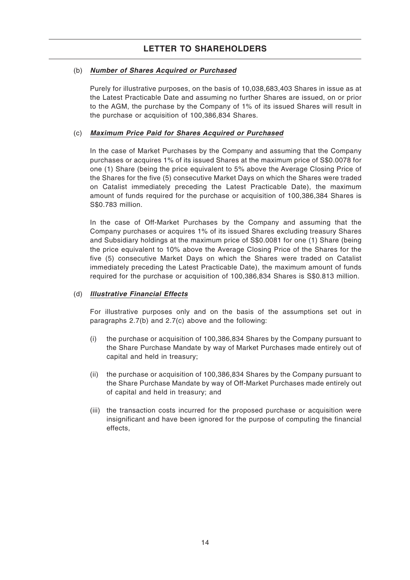### (b) **Number of Shares Acquired or Purchased**

Purely for illustrative purposes, on the basis of 10,038,683,403 Shares in issue as at the Latest Practicable Date and assuming no further Shares are issued, on or prior to the AGM, the purchase by the Company of 1% of its issued Shares will result in the purchase or acquisition of 100,386,834 Shares.

### (c) **Maximum Price Paid for Shares Acquired or Purchased**

In the case of Market Purchases by the Company and assuming that the Company purchases or acquires 1% of its issued Shares at the maximum price of S\$0.0078 for one (1) Share (being the price equivalent to 5% above the Average Closing Price of the Shares for the five (5) consecutive Market Days on which the Shares were traded on Catalist immediately preceding the Latest Practicable Date), the maximum amount of funds required for the purchase or acquisition of 100,386,384 Shares is S\$0.783 million.

In the case of Off-Market Purchases by the Company and assuming that the Company purchases or acquires 1% of its issued Shares excluding treasury Shares and Subsidiary holdings at the maximum price of S\$0.0081 for one (1) Share (being the price equivalent to 10% above the Average Closing Price of the Shares for the five (5) consecutive Market Days on which the Shares were traded on Catalist immediately preceding the Latest Practicable Date), the maximum amount of funds required for the purchase or acquisition of 100,386,834 Shares is S\$0.813 million.

### (d) **Illustrative Financial Effects**

For illustrative purposes only and on the basis of the assumptions set out in paragraphs 2.7(b) and 2.7(c) above and the following:

- (i) the purchase or acquisition of 100,386,834 Shares by the Company pursuant to the Share Purchase Mandate by way of Market Purchases made entirely out of capital and held in treasury;
- (ii) the purchase or acquisition of 100,386,834 Shares by the Company pursuant to the Share Purchase Mandate by way of Off-Market Purchases made entirely out of capital and held in treasury; and
- (iii) the transaction costs incurred for the proposed purchase or acquisition were insignificant and have been ignored for the purpose of computing the financial effects,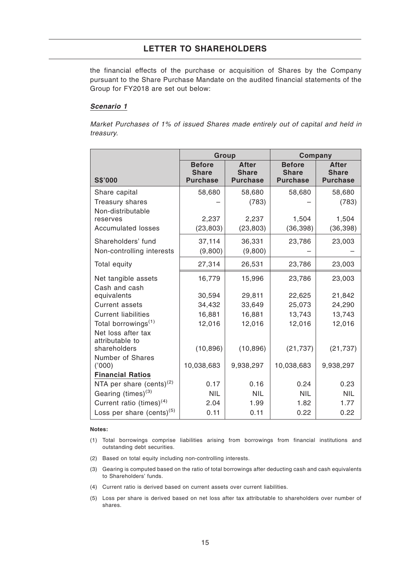the financial effects of the purchase or acquisition of Shares by the Company pursuant to the Share Purchase Mandate on the audited financial statements of the Group for FY2018 are set out below:

#### **Scenario 1**

Market Purchases of 1% of issued Shares made entirely out of capital and held in treasury.

|                                       | Group                                            |                                                 | Company                                          |                                                 |  |  |
|---------------------------------------|--------------------------------------------------|-------------------------------------------------|--------------------------------------------------|-------------------------------------------------|--|--|
| <b>S\$'000</b>                        | <b>Before</b><br><b>Share</b><br><b>Purchase</b> | <b>After</b><br><b>Share</b><br><b>Purchase</b> | <b>Before</b><br><b>Share</b><br><b>Purchase</b> | <b>After</b><br><b>Share</b><br><b>Purchase</b> |  |  |
| Share capital                         | 58,680                                           | 58,680                                          | 58,680                                           | 58,680                                          |  |  |
| Treasury shares                       |                                                  | (783)                                           |                                                  | (783)                                           |  |  |
| Non-distributable                     |                                                  |                                                 |                                                  |                                                 |  |  |
| reserves                              | 2,237                                            | 2,237                                           | 1,504                                            | 1,504                                           |  |  |
| <b>Accumulated losses</b>             | (23, 803)                                        | (23, 803)                                       | (36, 398)                                        | (36, 398)                                       |  |  |
| Shareholders' fund                    | 37,114                                           | 36,331                                          | 23,786                                           | 23,003                                          |  |  |
| Non-controlling interests             | (9,800)                                          | (9,800)                                         |                                                  |                                                 |  |  |
| Total equity                          | 27,314                                           | 26,531                                          | 23,786                                           | 23,003                                          |  |  |
| Net tangible assets                   | 16,779                                           | 15,996                                          | 23,786                                           | 23,003                                          |  |  |
| Cash and cash                         |                                                  |                                                 |                                                  |                                                 |  |  |
| equivalents                           | 30,594                                           | 29,811                                          | 22,625                                           | 21,842                                          |  |  |
| <b>Current assets</b>                 | 34,432                                           | 33,649                                          | 25,073                                           | 24,290                                          |  |  |
| <b>Current liabilities</b>            | 16,881                                           | 16,881                                          | 13,743                                           | 13,743                                          |  |  |
| Total borrowings <sup>(1)</sup>       | 12,016                                           | 12,016                                          | 12,016                                           | 12,016                                          |  |  |
| Net loss after tax<br>attributable to |                                                  |                                                 |                                                  |                                                 |  |  |
| shareholders                          | (10, 896)                                        | (10, 896)                                       | (21, 737)                                        | (21, 737)                                       |  |  |
| Number of Shares                      |                                                  |                                                 |                                                  |                                                 |  |  |
| (000)                                 | 10,038,683                                       | 9,938,297                                       | 10,038,683                                       | 9,938,297                                       |  |  |
| <b>Financial Ratios</b>               |                                                  |                                                 |                                                  |                                                 |  |  |
| NTA per share (cents) $(2)$           | 0.17                                             | 0.16                                            | 0.24                                             | 0.23                                            |  |  |
| Gearing $(\text{times})^{(3)}$        | <b>NIL</b>                                       | <b>NIL</b>                                      | <b>NIL</b>                                       | <b>NIL</b>                                      |  |  |
| Current ratio (times) $(4)$           | 2.04                                             | 1.99                                            | 1.82                                             | 1.77                                            |  |  |
| Loss per share $(cents)^{(5)}$        | 0.11                                             | 0.11                                            | 0.22                                             | 0.22                                            |  |  |

#### **Notes:**

(1) Total borrowings comprise liabilities arising from borrowings from financial institutions and outstanding debt securities.

- (2) Based on total equity including non-controlling interests.
- (3) Gearing is computed based on the ratio of total borrowings after deducting cash and cash equivalents to Shareholders' funds.
- (4) Current ratio is derived based on current assets over current liabilities.
- (5) Loss per share is derived based on net loss after tax attributable to shareholders over number of shares.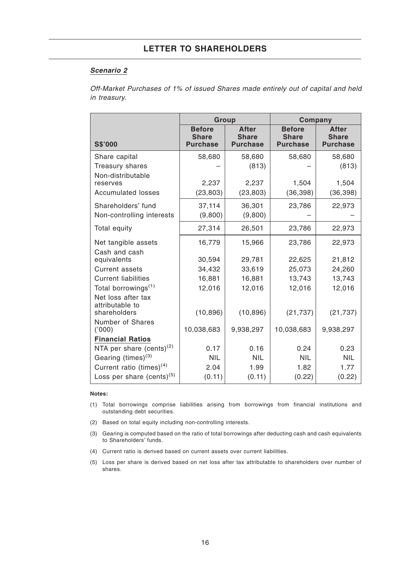#### **Scenario 2**

Off-Market Purchases of 1% of issued Shares made entirely out of capital and held in treasury.

|                                       | Group                                            |                                                 | Company                                          |                                                 |  |  |
|---------------------------------------|--------------------------------------------------|-------------------------------------------------|--------------------------------------------------|-------------------------------------------------|--|--|
| <b>S\$'000</b>                        | <b>Before</b><br><b>Share</b><br><b>Purchase</b> | <b>After</b><br><b>Share</b><br><b>Purchase</b> | <b>Before</b><br><b>Share</b><br><b>Purchase</b> | <b>After</b><br><b>Share</b><br><b>Purchase</b> |  |  |
| Share capital                         | 58,680                                           | 58,680                                          | 58,680                                           | 58,680                                          |  |  |
| Treasury shares                       |                                                  | (813)                                           |                                                  | (813)                                           |  |  |
| Non-distributable                     |                                                  |                                                 |                                                  |                                                 |  |  |
| reserves                              | 2,237                                            | 2,237                                           | 1,504                                            | 1,504                                           |  |  |
| <b>Accumulated losses</b>             | (23, 803)                                        | (23, 803)                                       | (36, 398)                                        | (36, 398)                                       |  |  |
| Shareholders' fund                    | 37,114                                           | 36,301                                          | 23,786                                           | 22,973                                          |  |  |
| Non-controlling interests             | (9,800)                                          | (9,800)                                         |                                                  |                                                 |  |  |
| Total equity                          | 27,314                                           | 26,501                                          | 23,786                                           | 22,973                                          |  |  |
| Net tangible assets                   | 16,779                                           | 15,966                                          | 23,786                                           | 22,973                                          |  |  |
| Cash and cash                         |                                                  |                                                 |                                                  |                                                 |  |  |
| equivalents                           | 30,594                                           | 29,781                                          | 22,625                                           | 21,812                                          |  |  |
| <b>Current assets</b>                 | 34,432                                           | 33,619                                          | 25,073                                           | 24,260                                          |  |  |
| <b>Current liabilities</b>            | 16,881                                           | 16,881                                          | 13,743                                           | 13,743                                          |  |  |
| Total borrowings <sup>(1)</sup>       | 12,016                                           | 12,016                                          | 12,016                                           | 12,016                                          |  |  |
| Net loss after tax<br>attributable to |                                                  |                                                 |                                                  |                                                 |  |  |
| shareholders                          | (10, 896)                                        | (10, 896)                                       | (21, 737)                                        | (21, 737)                                       |  |  |
| Number of Shares                      |                                                  |                                                 |                                                  |                                                 |  |  |
| (000)                                 | 10,038,683                                       | 9,938,297                                       | 10,038,683                                       | 9,938,297                                       |  |  |
| <b>Financial Ratios</b>               |                                                  |                                                 |                                                  |                                                 |  |  |
| NTA per share $(cents)^{(2)}$         | 0.17                                             | 0.16                                            | 0.24                                             | 0.23                                            |  |  |
| Gearing (times) <sup>(3)</sup>        | <b>NIL</b>                                       | <b>NIL</b>                                      | <b>NIL</b>                                       | <b>NIL</b>                                      |  |  |
| Current ratio (times) $(4)$           | 2.04                                             | 1.99                                            | 1.82                                             | 1.77                                            |  |  |
| Loss per share $(cents)^{(5)}$        | (0.11)                                           | (0.11)                                          | (0.22)                                           | (0.22)                                          |  |  |

#### **Notes:**

- (1) Total borrowings comprise liabilities arising from borrowings from financial institutions and outstanding debt securities.
- (2) Based on total equity including non-controlling interests.
- (3) Gearing is computed based on the ratio of total borrowings after deducting cash and cash equivalents to Shareholders' funds.
- (4) Current ratio is derived based on current assets over current liabilities.
- (5) Loss per share is derived based on net loss after tax attributable to shareholders over number of shares.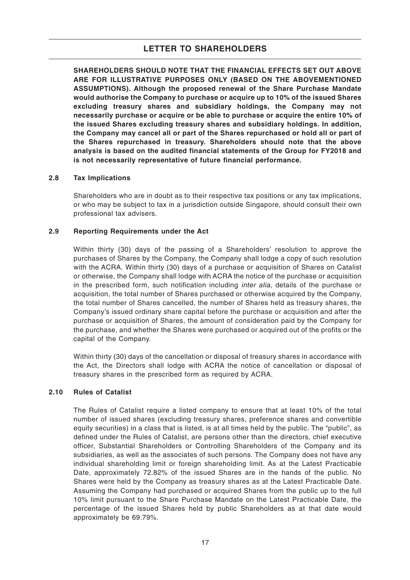**SHAREHOLDERS SHOULD NOTE THAT THE FINANCIAL EFFECTS SET OUT ABOVE ARE FOR ILLUSTRATIVE PURPOSES ONLY (BASED ON THE ABOVEMENTIONED ASSUMPTIONS). Although the proposed renewal of the Share Purchase Mandate would authorise the Company to purchase or acquire up to 10% of the issued Shares excluding treasury shares and subsidiary holdings, the Company may not necessarily purchase or acquire or be able to purchase or acquire the entire 10% of the issued Shares excluding treasury shares and subsidiary holdings. In addition, the Company may cancel all or part of the Shares repurchased or hold all or part of the Shares repurchased in treasury. Shareholders should note that the above analysis is based on the audited financial statements of the Group for FY2018 and is not necessarily representative of future financial performance.**

### **2.8 Tax Implications**

Shareholders who are in doubt as to their respective tax positions or any tax implications, or who may be subject to tax in a jurisdiction outside Singapore, should consult their own professional tax advisers.

### **2.9 Reporting Requirements under the Act**

Within thirty (30) days of the passing of a Shareholders' resolution to approve the purchases of Shares by the Company, the Company shall lodge a copy of such resolution with the ACRA. Within thirty (30) days of a purchase or acquisition of Shares on Catalist or otherwise, the Company shall lodge with ACRA the notice of the purchase or acquisition in the prescribed form, such notification including inter alia, details of the purchase or acquisition, the total number of Shares purchased or otherwise acquired by the Company, the total number of Shares cancelled, the number of Shares held as treasury shares, the Company's issued ordinary share capital before the purchase or acquisition and after the purchase or acquisition of Shares, the amount of consideration paid by the Company for the purchase, and whether the Shares were purchased or acquired out of the profits or the capital of the Company.

Within thirty (30) days of the cancellation or disposal of treasury shares in accordance with the Act, the Directors shall lodge with ACRA the notice of cancellation or disposal of treasury shares in the prescribed form as required by ACRA.

### **2.10 Rules of Catalist**

The Rules of Catalist require a listed company to ensure that at least 10% of the total number of issued shares (excluding treasury shares, preference shares and convertible equity securities) in a class that is listed, is at all times held by the public. The "public", as defined under the Rules of Catalist, are persons other than the directors, chief executive officer, Substantial Shareholders or Controlling Shareholders of the Company and its subsidiaries, as well as the associates of such persons. The Company does not have any individual shareholding limit or foreign shareholding limit. As at the Latest Practicable Date, approximately 72.82% of the issued Shares are in the hands of the public. No Shares were held by the Company as treasury shares as at the Latest Practicable Date. Assuming the Company had purchased or acquired Shares from the public up to the full 10% limit pursuant to the Share Purchase Mandate on the Latest Practicable Date, the percentage of the issued Shares held by public Shareholders as at that date would approximately be 69.79%.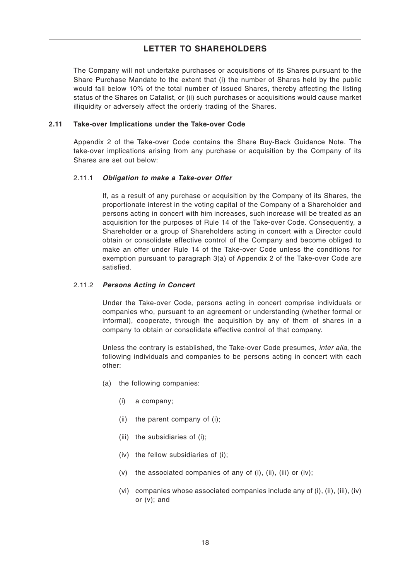The Company will not undertake purchases or acquisitions of its Shares pursuant to the Share Purchase Mandate to the extent that (i) the number of Shares held by the public would fall below 10% of the total number of issued Shares, thereby affecting the listing status of the Shares on Catalist, or (ii) such purchases or acquisitions would cause market illiquidity or adversely affect the orderly trading of the Shares.

#### **2.11 Take-over Implications under the Take-over Code**

Appendix 2 of the Take-over Code contains the Share Buy-Back Guidance Note. The take-over implications arising from any purchase or acquisition by the Company of its Shares are set out below:

#### 2.11.1 **Obligation to make a Take-over Offer**

If, as a result of any purchase or acquisition by the Company of its Shares, the proportionate interest in the voting capital of the Company of a Shareholder and persons acting in concert with him increases, such increase will be treated as an acquisition for the purposes of Rule 14 of the Take-over Code. Consequently, a Shareholder or a group of Shareholders acting in concert with a Director could obtain or consolidate effective control of the Company and become obliged to make an offer under Rule 14 of the Take-over Code unless the conditions for exemption pursuant to paragraph 3(a) of Appendix 2 of the Take-over Code are satisfied.

#### 2.11.2 **Persons Acting in Concert**

Under the Take-over Code, persons acting in concert comprise individuals or companies who, pursuant to an agreement or understanding (whether formal or informal), cooperate, through the acquisition by any of them of shares in a company to obtain or consolidate effective control of that company.

Unless the contrary is established, the Take-over Code presumes, inter alia, the following individuals and companies to be persons acting in concert with each other:

- (a) the following companies:
	- (i) a company;
	- (ii) the parent company of (i);
	- (iii) the subsidiaries of (i);
	- (iv) the fellow subsidiaries of (i);
	- (v) the associated companies of any of (i), (ii), (iii) or (iv);
	- (vi) companies whose associated companies include any of (i), (ii), (iii), (iv) or (v); and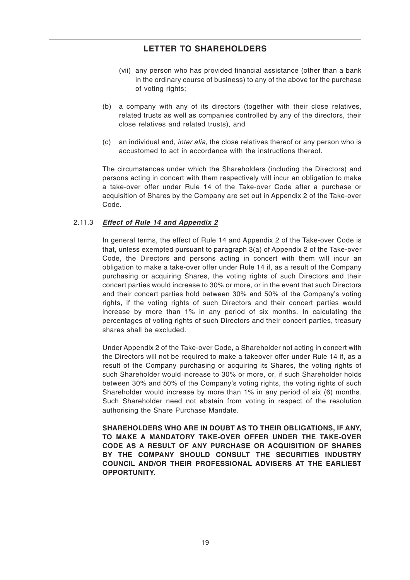- (vii) any person who has provided financial assistance (other than a bank in the ordinary course of business) to any of the above for the purchase of voting rights;
- (b) a company with any of its directors (together with their close relatives, related trusts as well as companies controlled by any of the directors, their close relatives and related trusts), and
- (c) an individual and, inter alia, the close relatives thereof or any person who is accustomed to act in accordance with the instructions thereof.

The circumstances under which the Shareholders (including the Directors) and persons acting in concert with them respectively will incur an obligation to make a take-over offer under Rule 14 of the Take-over Code after a purchase or acquisition of Shares by the Company are set out in Appendix 2 of the Take-over Code.

### 2.11.3 **Effect of Rule 14 and Appendix 2**

In general terms, the effect of Rule 14 and Appendix 2 of the Take-over Code is that, unless exempted pursuant to paragraph 3(a) of Appendix 2 of the Take-over Code, the Directors and persons acting in concert with them will incur an obligation to make a take-over offer under Rule 14 if, as a result of the Company purchasing or acquiring Shares, the voting rights of such Directors and their concert parties would increase to 30% or more, or in the event that such Directors and their concert parties hold between 30% and 50% of the Company's voting rights, if the voting rights of such Directors and their concert parties would increase by more than 1% in any period of six months. In calculating the percentages of voting rights of such Directors and their concert parties, treasury shares shall be excluded.

Under Appendix 2 of the Take-over Code, a Shareholder not acting in concert with the Directors will not be required to make a takeover offer under Rule 14 if, as a result of the Company purchasing or acquiring its Shares, the voting rights of such Shareholder would increase to 30% or more, or, if such Shareholder holds between 30% and 50% of the Company's voting rights, the voting rights of such Shareholder would increase by more than 1% in any period of six (6) months. Such Shareholder need not abstain from voting in respect of the resolution authorising the Share Purchase Mandate.

**SHAREHOLDERS WHO ARE IN DOUBT AS TO THEIR OBLIGATIONS, IF ANY, TO MAKE A MANDATORY TAKE-OVER OFFER UNDER THE TAKE-OVER CODE AS A RESULT OF ANY PURCHASE OR ACQUISITION OF SHARES BY THE COMPANY SHOULD CONSULT THE SECURITIES INDUSTRY COUNCIL AND/OR THEIR PROFESSIONAL ADVISERS AT THE EARLIEST OPPORTUNITY.**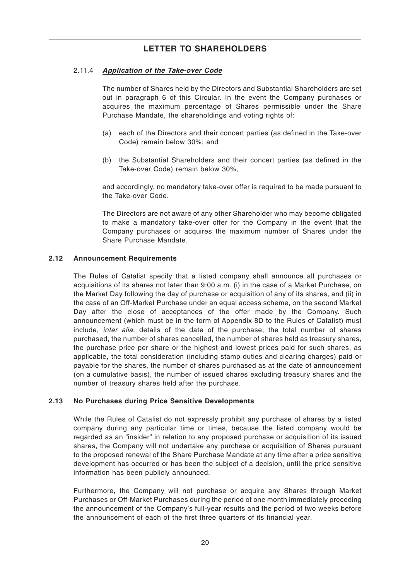### 2.11.4 **Application of the Take-over Code**

The number of Shares held by the Directors and Substantial Shareholders are set out in paragraph 6 of this Circular. In the event the Company purchases or acquires the maximum percentage of Shares permissible under the Share Purchase Mandate, the shareholdings and voting rights of:

- (a) each of the Directors and their concert parties (as defined in the Take-over Code) remain below 30%; and
- (b) the Substantial Shareholders and their concert parties (as defined in the Take-over Code) remain below 30%,

and accordingly, no mandatory take-over offer is required to be made pursuant to the Take-over Code.

The Directors are not aware of any other Shareholder who may become obligated to make a mandatory take-over offer for the Company in the event that the Company purchases or acquires the maximum number of Shares under the Share Purchase Mandate.

#### **2.12 Announcement Requirements**

The Rules of Catalist specify that a listed company shall announce all purchases or acquisitions of its shares not later than 9:00 a.m. (i) in the case of a Market Purchase, on the Market Day following the day of purchase or acquisition of any of its shares, and (ii) in the case of an Off-Market Purchase under an equal access scheme, on the second Market Day after the close of acceptances of the offer made by the Company. Such announcement (which must be in the form of Appendix 8D to the Rules of Catalist) must include, inter alia, details of the date of the purchase, the total number of shares purchased, the number of shares cancelled, the number of shares held as treasury shares, the purchase price per share or the highest and lowest prices paid for such shares, as applicable, the total consideration (including stamp duties and clearing charges) paid or payable for the shares, the number of shares purchased as at the date of announcement (on a cumulative basis), the number of issued shares excluding treasury shares and the number of treasury shares held after the purchase.

### **2.13 No Purchases during Price Sensitive Developments**

While the Rules of Catalist do not expressly prohibit any purchase of shares by a listed company during any particular time or times, because the listed company would be regarded as an "insider" in relation to any proposed purchase or acquisition of its issued shares, the Company will not undertake any purchase or acquisition of Shares pursuant to the proposed renewal of the Share Purchase Mandate at any time after a price sensitive development has occurred or has been the subject of a decision, until the price sensitive information has been publicly announced.

Furthermore, the Company will not purchase or acquire any Shares through Market Purchases or Off-Market Purchases during the period of one month immediately preceding the announcement of the Company's full-year results and the period of two weeks before the announcement of each of the first three quarters of its financial year.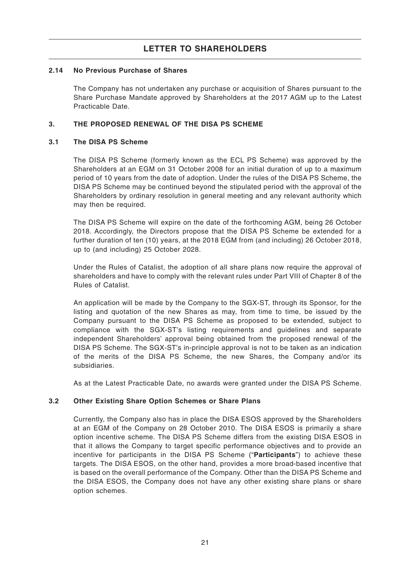### **2.14 No Previous Purchase of Shares**

The Company has not undertaken any purchase or acquisition of Shares pursuant to the Share Purchase Mandate approved by Shareholders at the 2017 AGM up to the Latest Practicable Date.

### **3. THE PROPOSED RENEWAL OF THE DISA PS SCHEME**

### **3.1 The DISA PS Scheme**

The DISA PS Scheme (formerly known as the ECL PS Scheme) was approved by the Shareholders at an EGM on 31 October 2008 for an initial duration of up to a maximum period of 10 years from the date of adoption. Under the rules of the DISA PS Scheme, the DISA PS Scheme may be continued beyond the stipulated period with the approval of the Shareholders by ordinary resolution in general meeting and any relevant authority which may then be required.

The DISA PS Scheme will expire on the date of the forthcoming AGM, being 26 October 2018. Accordingly, the Directors propose that the DISA PS Scheme be extended for a further duration of ten (10) years, at the 2018 EGM from (and including) 26 October 2018, up to (and including) 25 October 2028.

Under the Rules of Catalist, the adoption of all share plans now require the approval of shareholders and have to comply with the relevant rules under Part VIII of Chapter 8 of the Rules of Catalist.

An application will be made by the Company to the SGX-ST, through its Sponsor, for the listing and quotation of the new Shares as may, from time to time, be issued by the Company pursuant to the DISA PS Scheme as proposed to be extended, subject to compliance with the SGX-ST's listing requirements and guidelines and separate independent Shareholders' approval being obtained from the proposed renewal of the DISA PS Scheme. The SGX-ST's in-principle approval is not to be taken as an indication of the merits of the DISA PS Scheme, the new Shares, the Company and/or its subsidiaries.

As at the Latest Practicable Date, no awards were granted under the DISA PS Scheme.

### **3.2 Other Existing Share Option Schemes or Share Plans**

Currently, the Company also has in place the DISA ESOS approved by the Shareholders at an EGM of the Company on 28 October 2010. The DISA ESOS is primarily a share option incentive scheme. The DISA PS Scheme differs from the existing DISA ESOS in that it allows the Company to target specific performance objectives and to provide an incentive for participants in the DISA PS Scheme ("**Participants**") to achieve these targets. The DISA ESOS, on the other hand, provides a more broad-based incentive that is based on the overall performance of the Company. Other than the DISA PS Scheme and the DISA ESOS, the Company does not have any other existing share plans or share option schemes.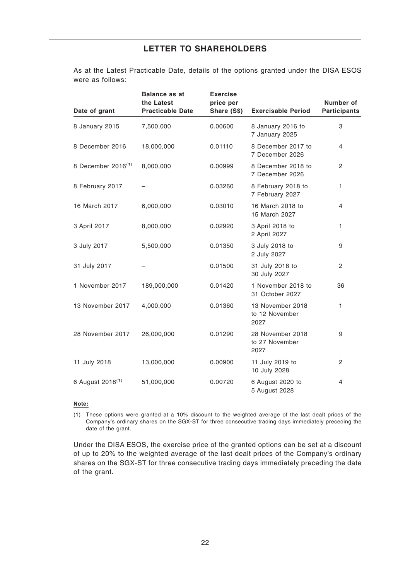As at the Latest Practicable Date, details of the options granted under the DISA ESOS were as follows:

| Date of grant                | <b>Balance as at</b><br>the Latest<br><b>Practicable Date</b> | <b>Exercise</b><br>price per<br>Share (S\$) | <b>Exercisable Period</b>                  | Number of<br><b>Participants</b> |
|------------------------------|---------------------------------------------------------------|---------------------------------------------|--------------------------------------------|----------------------------------|
| 8 January 2015               | 7,500,000                                                     | 0.00600                                     | 8 January 2016 to<br>7 January 2025        | 3                                |
| 8 December 2016              | 18,000,000                                                    | 0.01110                                     | 8 December 2017 to<br>7 December 2026      | 4                                |
| 8 December $2016^{(1)}$      | 8,000,000                                                     | 0.00999                                     | 8 December 2018 to<br>7 December 2026      | 2                                |
| 8 February 2017              |                                                               | 0.03260                                     | 8 February 2018 to<br>7 February 2027      | $\mathbf{1}$                     |
| 16 March 2017                | 6,000,000                                                     | 0.03010                                     | 16 March 2018 to<br>15 March 2027          | $\overline{4}$                   |
| 3 April 2017                 | 8,000,000                                                     | 0.02920                                     | 3 April 2018 to<br>2 April 2027            | $\mathbf{1}$                     |
| 3 July 2017                  | 5,500,000                                                     | 0.01350                                     | 3 July 2018 to<br>2 July 2027              | 9                                |
| 31 July 2017                 |                                                               | 0.01500                                     | 31 July 2018 to<br>30 July 2027            | 2                                |
| 1 November 2017              | 189,000,000                                                   | 0.01420                                     | 1 November 2018 to<br>31 October 2027      | 36                               |
| 13 November 2017             | 4,000,000                                                     | 0.01360                                     | 13 November 2018<br>to 12 November<br>2027 | 1                                |
| 28 November 2017             | 26,000,000                                                    | 0.01290                                     | 28 November 2018<br>to 27 November<br>2027 | 9                                |
| 11 July 2018                 | 13,000,000                                                    | 0.00900                                     | 11 July 2019 to<br>10 July 2028            | $\overline{c}$                   |
| 6 August 2018 <sup>(1)</sup> | 51,000,000                                                    | 0.00720                                     | 6 August 2020 to<br>5 August 2028          | 4                                |

#### **Note:**

(1) These options were granted at a 10% discount to the weighted average of the last dealt prices of the Company's ordinary shares on the SGX-ST for three consecutive trading days immediately preceding the date of the grant.

Under the DISA ESOS, the exercise price of the granted options can be set at a discount of up to 20% to the weighted average of the last dealt prices of the Company's ordinary shares on the SGX-ST for three consecutive trading days immediately preceding the date of the grant.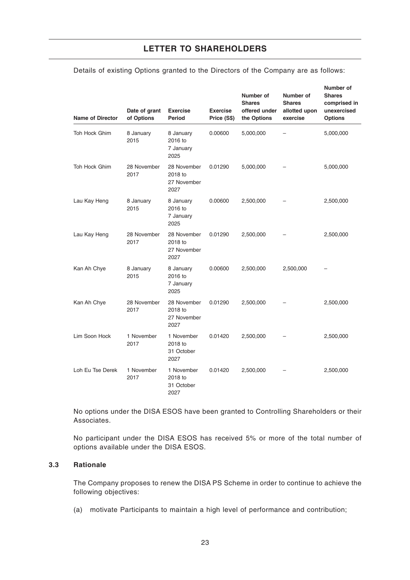| <b>Name of Director</b> | Date of grant<br>of Options | <b>Exercise</b><br><b>Period</b>              | <b>Exercise</b><br>Price (S\$) | Number of<br><b>Shares</b><br>offered under<br>the Options | Number of<br><b>Shares</b><br>allotted upon<br>exercise | Number of<br><b>Shares</b><br>comprised in<br>unexercised<br><b>Options</b> |
|-------------------------|-----------------------------|-----------------------------------------------|--------------------------------|------------------------------------------------------------|---------------------------------------------------------|-----------------------------------------------------------------------------|
| Toh Hock Ghim           | 8 January<br>2015           | 8 January<br>2016 to<br>7 January<br>2025     | 0.00600                        | 5,000,000                                                  |                                                         | 5,000,000                                                                   |
| Toh Hock Ghim           | 28 November<br>2017         | 28 November<br>2018 to<br>27 November<br>2027 | 0.01290                        | 5,000,000                                                  |                                                         | 5,000,000                                                                   |
| Lau Kay Heng            | 8 January<br>2015           | 8 January<br>2016 to<br>7 January<br>2025     | 0.00600                        | 2,500,000                                                  |                                                         | 2,500,000                                                                   |
| Lau Kay Heng            | 28 November<br>2017         | 28 November<br>2018 to<br>27 November<br>2027 | 0.01290                        | 2,500,000                                                  |                                                         | 2,500,000                                                                   |
| Kan Ah Chye             | 8 January<br>2015           | 8 January<br>2016 to<br>7 January<br>2025     | 0.00600                        | 2,500,000                                                  | 2,500,000                                               |                                                                             |
| Kan Ah Chye             | 28 November<br>2017         | 28 November<br>2018 to<br>27 November<br>2027 | 0.01290                        | 2,500,000                                                  |                                                         | 2,500,000                                                                   |
| Lim Soon Hock           | 1 November<br>2017          | 1 November<br>2018 to<br>31 October<br>2027   | 0.01420                        | 2,500,000                                                  |                                                         | 2,500,000                                                                   |
| Loh Eu Tse Derek        | 1 November<br>2017          | 1 November<br>2018 to<br>31 October<br>2027   | 0.01420                        | 2,500,000                                                  |                                                         | 2,500,000                                                                   |

Details of existing Options granted to the Directors of the Company are as follows:

No options under the DISA ESOS have been granted to Controlling Shareholders or their Associates.

No participant under the DISA ESOS has received 5% or more of the total number of options available under the DISA ESOS.

### **3.3 Rationale**

The Company proposes to renew the DISA PS Scheme in order to continue to achieve the following objectives:

(a) motivate Participants to maintain a high level of performance and contribution;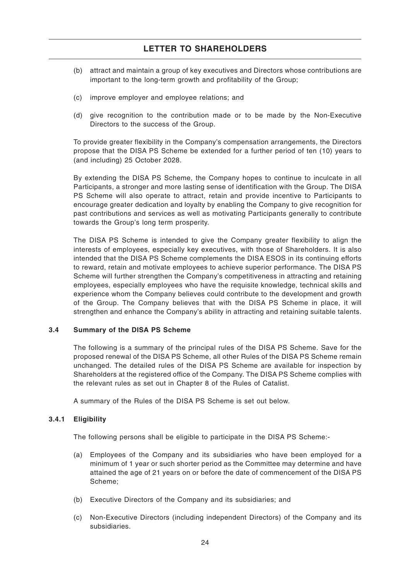- (b) attract and maintain a group of key executives and Directors whose contributions are important to the long-term growth and profitability of the Group;
- (c) improve employer and employee relations; and
- (d) give recognition to the contribution made or to be made by the Non-Executive Directors to the success of the Group.

To provide greater flexibility in the Company's compensation arrangements, the Directors propose that the DISA PS Scheme be extended for a further period of ten (10) years to (and including) 25 October 2028.

By extending the DISA PS Scheme, the Company hopes to continue to inculcate in all Participants, a stronger and more lasting sense of identification with the Group. The DISA PS Scheme will also operate to attract, retain and provide incentive to Participants to encourage greater dedication and loyalty by enabling the Company to give recognition for past contributions and services as well as motivating Participants generally to contribute towards the Group's long term prosperity.

The DISA PS Scheme is intended to give the Company greater flexibility to align the interests of employees, especially key executives, with those of Shareholders. It is also intended that the DISA PS Scheme complements the DISA ESOS in its continuing efforts to reward, retain and motivate employees to achieve superior performance. The DISA PS Scheme will further strengthen the Company's competitiveness in attracting and retaining employees, especially employees who have the requisite knowledge, technical skills and experience whom the Company believes could contribute to the development and growth of the Group. The Company believes that with the DISA PS Scheme in place, it will strengthen and enhance the Company's ability in attracting and retaining suitable talents.

### **3.4 Summary of the DISA PS Scheme**

The following is a summary of the principal rules of the DISA PS Scheme. Save for the proposed renewal of the DISA PS Scheme, all other Rules of the DISA PS Scheme remain unchanged. The detailed rules of the DISA PS Scheme are available for inspection by Shareholders at the registered office of the Company. The DISA PS Scheme complies with the relevant rules as set out in Chapter 8 of the Rules of Catalist.

A summary of the Rules of the DISA PS Scheme is set out below.

### **3.4.1 Eligibility**

The following persons shall be eligible to participate in the DISA PS Scheme:-

- (a) Employees of the Company and its subsidiaries who have been employed for a minimum of 1 year or such shorter period as the Committee may determine and have attained the age of 21 years on or before the date of commencement of the DISA PS Scheme;
- (b) Executive Directors of the Company and its subsidiaries; and
- (c) Non-Executive Directors (including independent Directors) of the Company and its subsidiaries.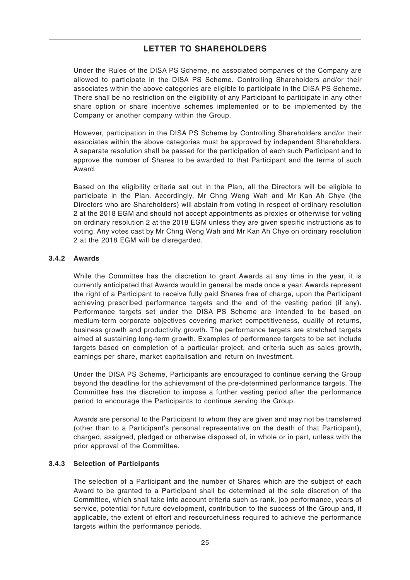Under the Rules of the DISA PS Scheme, no associated companies of the Company are allowed to participate in the DISA PS Scheme. Controlling Shareholders and/or their associates within the above categories are eligible to participate in the DISA PS Scheme. There shall be no restriction on the eligibility of any Participant to participate in any other share option or share incentive schemes implemented or to be implemented by the Company or another company within the Group.

However, participation in the DISA PS Scheme by Controlling Shareholders and/or their associates within the above categories must be approved by independent Shareholders. A separate resolution shall be passed for the participation of each such Participant and to approve the number of Shares to be awarded to that Participant and the terms of such Award.

Based on the eligibility criteria set out in the Plan, all the Directors will be eligible to participate in the Plan. Accordingly, Mr Chng Weng Wah and Mr Kan Ah Chye (the Directors who are Shareholders) will abstain from voting in respect of ordinary resolution 2 at the 2018 EGM and should not accept appointments as proxies or otherwise for voting on ordinary resolution 2 at the 2018 EGM unless they are given specific instructions as to voting. Any votes cast by Mr Chng Weng Wah and Mr Kan Ah Chye on ordinary resolution 2 at the 2018 EGM will be disregarded.

### **3.4.2 Awards**

While the Committee has the discretion to grant Awards at any time in the year, it is currently anticipated that Awards would in general be made once a year. Awards represent the right of a Participant to receive fully paid Shares free of charge, upon the Participant achieving prescribed performance targets and the end of the vesting period (if any). Performance targets set under the DISA PS Scheme are intended to be based on medium-term corporate objectives covering market competitiveness, quality of returns, business growth and productivity growth. The performance targets are stretched targets aimed at sustaining long-term growth. Examples of performance targets to be set include targets based on completion of a particular project, and criteria such as sales growth, earnings per share, market capitalisation and return on investment.

Under the DISA PS Scheme, Participants are encouraged to continue serving the Group beyond the deadline for the achievement of the pre-determined performance targets. The Committee has the discretion to impose a further vesting period after the performance period to encourage the Participants to continue serving the Group.

Awards are personal to the Participant to whom they are given and may not be transferred (other than to a Participant's personal representative on the death of that Participant), charged, assigned, pledged or otherwise disposed of, in whole or in part, unless with the prior approval of the Committee.

### **3.4.3 Selection of Participants**

The selection of a Participant and the number of Shares which are the subject of each Award to be granted to a Participant shall be determined at the sole discretion of the Committee, which shall take into account criteria such as rank, job performance, years of service, potential for future development, contribution to the success of the Group and, if applicable, the extent of effort and resourcefulness required to achieve the performance targets within the performance periods.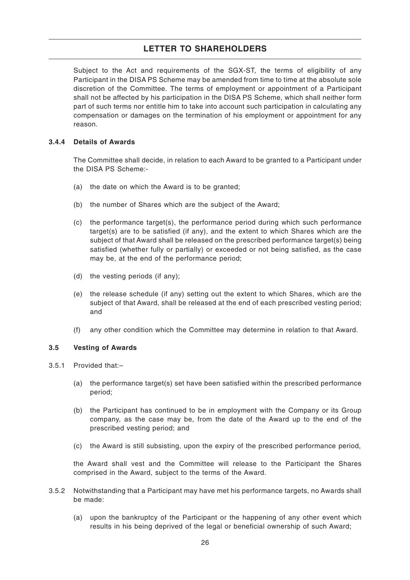Subject to the Act and requirements of the SGX-ST, the terms of eligibility of any Participant in the DISA PS Scheme may be amended from time to time at the absolute sole discretion of the Committee. The terms of employment or appointment of a Participant shall not be affected by his participation in the DISA PS Scheme, which shall neither form part of such terms nor entitle him to take into account such participation in calculating any compensation or damages on the termination of his employment or appointment for any reason.

#### **3.4.4 Details of Awards**

The Committee shall decide, in relation to each Award to be granted to a Participant under the DISA PS Scheme:-

- (a) the date on which the Award is to be granted;
- (b) the number of Shares which are the subject of the Award;
- (c) the performance target(s), the performance period during which such performance target(s) are to be satisfied (if any), and the extent to which Shares which are the subject of that Award shall be released on the prescribed performance target(s) being satisfied (whether fully or partially) or exceeded or not being satisfied, as the case may be, at the end of the performance period;
- (d) the vesting periods (if any);
- (e) the release schedule (if any) setting out the extent to which Shares, which are the subject of that Award, shall be released at the end of each prescribed vesting period; and
- (f) any other condition which the Committee may determine in relation to that Award.

### **3.5 Vesting of Awards**

- 3.5.1 Provided that:–
	- (a) the performance target(s) set have been satisfied within the prescribed performance period;
	- (b) the Participant has continued to be in employment with the Company or its Group company, as the case may be, from the date of the Award up to the end of the prescribed vesting period; and
	- (c) the Award is still subsisting, upon the expiry of the prescribed performance period,

the Award shall vest and the Committee will release to the Participant the Shares comprised in the Award, subject to the terms of the Award.

- 3.5.2 Notwithstanding that a Participant may have met his performance targets, no Awards shall be made:
	- (a) upon the bankruptcy of the Participant or the happening of any other event which results in his being deprived of the legal or beneficial ownership of such Award;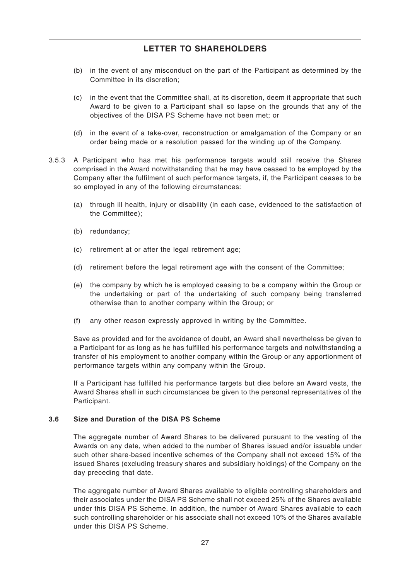- (b) in the event of any misconduct on the part of the Participant as determined by the Committee in its discretion;
- (c) in the event that the Committee shall, at its discretion, deem it appropriate that such Award to be given to a Participant shall so lapse on the grounds that any of the objectives of the DISA PS Scheme have not been met; or
- (d) in the event of a take-over, reconstruction or amalgamation of the Company or an order being made or a resolution passed for the winding up of the Company.
- 3.5.3 A Participant who has met his performance targets would still receive the Shares comprised in the Award notwithstanding that he may have ceased to be employed by the Company after the fulfilment of such performance targets, if, the Participant ceases to be so employed in any of the following circumstances:
	- (a) through ill health, injury or disability (in each case, evidenced to the satisfaction of the Committee);
	- (b) redundancy;
	- (c) retirement at or after the legal retirement age;
	- (d) retirement before the legal retirement age with the consent of the Committee;
	- (e) the company by which he is employed ceasing to be a company within the Group or the undertaking or part of the undertaking of such company being transferred otherwise than to another company within the Group; or
	- (f) any other reason expressly approved in writing by the Committee.

Save as provided and for the avoidance of doubt, an Award shall nevertheless be given to a Participant for as long as he has fulfilled his performance targets and notwithstanding a transfer of his employment to another company within the Group or any apportionment of performance targets within any company within the Group.

If a Participant has fulfilled his performance targets but dies before an Award vests, the Award Shares shall in such circumstances be given to the personal representatives of the Participant.

### **3.6 Size and Duration of the DISA PS Scheme**

The aggregate number of Award Shares to be delivered pursuant to the vesting of the Awards on any date, when added to the number of Shares issued and/or issuable under such other share-based incentive schemes of the Company shall not exceed 15% of the issued Shares (excluding treasury shares and subsidiary holdings) of the Company on the day preceding that date.

The aggregate number of Award Shares available to eligible controlling shareholders and their associates under the DISA PS Scheme shall not exceed 25% of the Shares available under this DISA PS Scheme. In addition, the number of Award Shares available to each such controlling shareholder or his associate shall not exceed 10% of the Shares available under this DISA PS Scheme.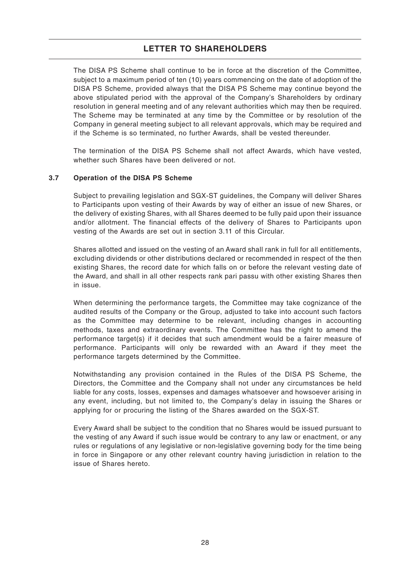The DISA PS Scheme shall continue to be in force at the discretion of the Committee, subject to a maximum period of ten (10) years commencing on the date of adoption of the DISA PS Scheme, provided always that the DISA PS Scheme may continue beyond the above stipulated period with the approval of the Company's Shareholders by ordinary resolution in general meeting and of any relevant authorities which may then be required. The Scheme may be terminated at any time by the Committee or by resolution of the Company in general meeting subject to all relevant approvals, which may be required and if the Scheme is so terminated, no further Awards, shall be vested thereunder.

The termination of the DISA PS Scheme shall not affect Awards, which have vested, whether such Shares have been delivered or not.

### **3.7 Operation of the DISA PS Scheme**

Subject to prevailing legislation and SGX-ST guidelines, the Company will deliver Shares to Participants upon vesting of their Awards by way of either an issue of new Shares, or the delivery of existing Shares, with all Shares deemed to be fully paid upon their issuance and/or allotment. The financial effects of the delivery of Shares to Participants upon vesting of the Awards are set out in section 3.11 of this Circular.

Shares allotted and issued on the vesting of an Award shall rank in full for all entitlements, excluding dividends or other distributions declared or recommended in respect of the then existing Shares, the record date for which falls on or before the relevant vesting date of the Award, and shall in all other respects rank pari passu with other existing Shares then in issue.

When determining the performance targets, the Committee may take cognizance of the audited results of the Company or the Group, adjusted to take into account such factors as the Committee may determine to be relevant, including changes in accounting methods, taxes and extraordinary events. The Committee has the right to amend the performance target(s) if it decides that such amendment would be a fairer measure of performance. Participants will only be rewarded with an Award if they meet the performance targets determined by the Committee.

Notwithstanding any provision contained in the Rules of the DISA PS Scheme, the Directors, the Committee and the Company shall not under any circumstances be held liable for any costs, losses, expenses and damages whatsoever and howsoever arising in any event, including, but not limited to, the Company's delay in issuing the Shares or applying for or procuring the listing of the Shares awarded on the SGX-ST.

Every Award shall be subject to the condition that no Shares would be issued pursuant to the vesting of any Award if such issue would be contrary to any law or enactment, or any rules or regulations of any legislative or non-legislative governing body for the time being in force in Singapore or any other relevant country having jurisdiction in relation to the issue of Shares hereto.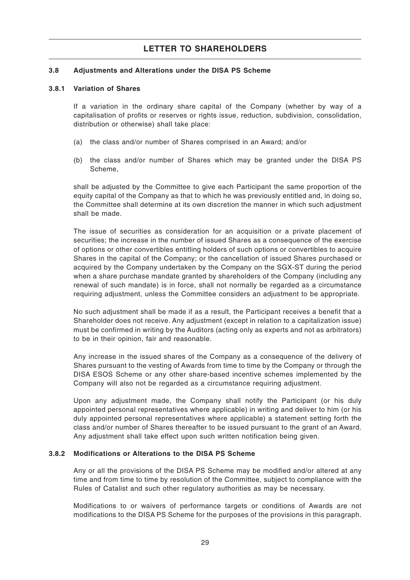### **3.8 Adjustments and Alterations under the DISA PS Scheme**

#### **3.8.1 Variation of Shares**

If a variation in the ordinary share capital of the Company (whether by way of a capitalisation of profits or reserves or rights issue, reduction, subdivision, consolidation, distribution or otherwise) shall take place:

- (a) the class and/or number of Shares comprised in an Award; and/or
- (b) the class and/or number of Shares which may be granted under the DISA PS Scheme,

shall be adjusted by the Committee to give each Participant the same proportion of the equity capital of the Company as that to which he was previously entitled and, in doing so, the Committee shall determine at its own discretion the manner in which such adjustment shall be made.

The issue of securities as consideration for an acquisition or a private placement of securities; the increase in the number of issued Shares as a consequence of the exercise of options or other convertibles entitling holders of such options or convertibles to acquire Shares in the capital of the Company; or the cancellation of issued Shares purchased or acquired by the Company undertaken by the Company on the SGX-ST during the period when a share purchase mandate granted by shareholders of the Company (including any renewal of such mandate) is in force, shall not normally be regarded as a circumstance requiring adjustment, unless the Committee considers an adjustment to be appropriate.

No such adjustment shall be made if as a result, the Participant receives a benefit that a Shareholder does not receive. Any adjustment (except in relation to a capitalization issue) must be confirmed in writing by the Auditors (acting only as experts and not as arbitrators) to be in their opinion, fair and reasonable.

Any increase in the issued shares of the Company as a consequence of the delivery of Shares pursuant to the vesting of Awards from time to time by the Company or through the DISA ESOS Scheme or any other share-based incentive schemes implemented by the Company will also not be regarded as a circumstance requiring adjustment.

Upon any adjustment made, the Company shall notify the Participant (or his duly appointed personal representatives where applicable) in writing and deliver to him (or his duly appointed personal representatives where applicable) a statement setting forth the class and/or number of Shares thereafter to be issued pursuant to the grant of an Award. Any adjustment shall take effect upon such written notification being given.

### **3.8.2 Modifications or Alterations to the DISA PS Scheme**

Any or all the provisions of the DISA PS Scheme may be modified and/or altered at any time and from time to time by resolution of the Committee, subject to compliance with the Rules of Catalist and such other regulatory authorities as may be necessary.

Modifications to or waivers of performance targets or conditions of Awards are not modifications to the DISA PS Scheme for the purposes of the provisions in this paragraph.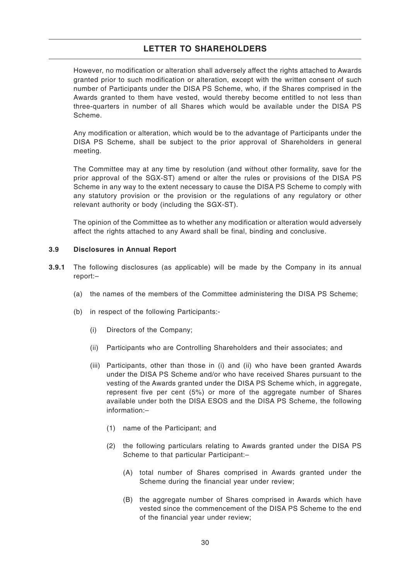However, no modification or alteration shall adversely affect the rights attached to Awards granted prior to such modification or alteration, except with the written consent of such number of Participants under the DISA PS Scheme, who, if the Shares comprised in the Awards granted to them have vested, would thereby become entitled to not less than three-quarters in number of all Shares which would be available under the DISA PS Scheme.

Any modification or alteration, which would be to the advantage of Participants under the DISA PS Scheme, shall be subject to the prior approval of Shareholders in general meeting.

The Committee may at any time by resolution (and without other formality, save for the prior approval of the SGX-ST) amend or alter the rules or provisions of the DISA PS Scheme in any way to the extent necessary to cause the DISA PS Scheme to comply with any statutory provision or the provision or the regulations of any regulatory or other relevant authority or body (including the SGX-ST).

The opinion of the Committee as to whether any modification or alteration would adversely affect the rights attached to any Award shall be final, binding and conclusive.

### **3.9 Disclosures in Annual Report**

- **3.9.1** The following disclosures (as applicable) will be made by the Company in its annual report:–
	- (a) the names of the members of the Committee administering the DISA PS Scheme;
	- (b) in respect of the following Participants:-
		- (i) Directors of the Company;
		- (ii) Participants who are Controlling Shareholders and their associates; and
		- (iii) Participants, other than those in (i) and (ii) who have been granted Awards under the DISA PS Scheme and/or who have received Shares pursuant to the vesting of the Awards granted under the DISA PS Scheme which, in aggregate, represent five per cent (5%) or more of the aggregate number of Shares available under both the DISA ESOS and the DISA PS Scheme, the following information:–
			- (1) name of the Participant; and
			- (2) the following particulars relating to Awards granted under the DISA PS Scheme to that particular Participant:–
				- (A) total number of Shares comprised in Awards granted under the Scheme during the financial year under review;
				- (B) the aggregate number of Shares comprised in Awards which have vested since the commencement of the DISA PS Scheme to the end of the financial year under review;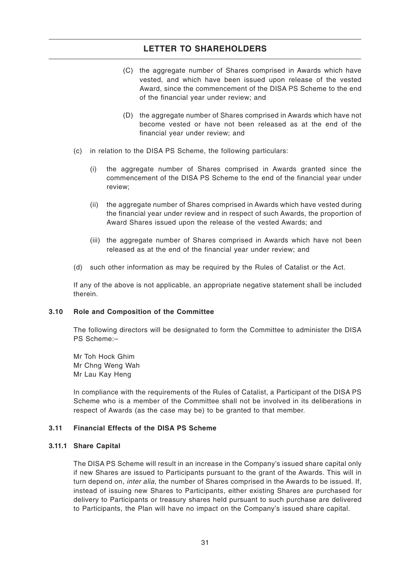- (C) the aggregate number of Shares comprised in Awards which have vested, and which have been issued upon release of the vested Award, since the commencement of the DISA PS Scheme to the end of the financial year under review; and
- (D) the aggregate number of Shares comprised in Awards which have not become vested or have not been released as at the end of the financial year under review; and
- (c) in relation to the DISA PS Scheme, the following particulars:
	- (i) the aggregate number of Shares comprised in Awards granted since the commencement of the DISA PS Scheme to the end of the financial year under review;
	- (ii) the aggregate number of Shares comprised in Awards which have vested during the financial year under review and in respect of such Awards, the proportion of Award Shares issued upon the release of the vested Awards; and
	- (iii) the aggregate number of Shares comprised in Awards which have not been released as at the end of the financial year under review; and
- (d) such other information as may be required by the Rules of Catalist or the Act.

If any of the above is not applicable, an appropriate negative statement shall be included therein.

### **3.10 Role and Composition of the Committee**

The following directors will be designated to form the Committee to administer the DISA PS Scheme:–

Mr Toh Hock Ghim Mr Chng Weng Wah Mr Lau Kay Heng

In compliance with the requirements of the Rules of Catalist, a Participant of the DISA PS Scheme who is a member of the Committee shall not be involved in its deliberations in respect of Awards (as the case may be) to be granted to that member.

### **3.11 Financial Effects of the DISA PS Scheme**

#### **3.11.1 Share Capital**

The DISA PS Scheme will result in an increase in the Company's issued share capital only if new Shares are issued to Participants pursuant to the grant of the Awards. This will in turn depend on, inter alia, the number of Shares comprised in the Awards to be issued. If, instead of issuing new Shares to Participants, either existing Shares are purchased for delivery to Participants or treasury shares held pursuant to such purchase are delivered to Participants, the Plan will have no impact on the Company's issued share capital.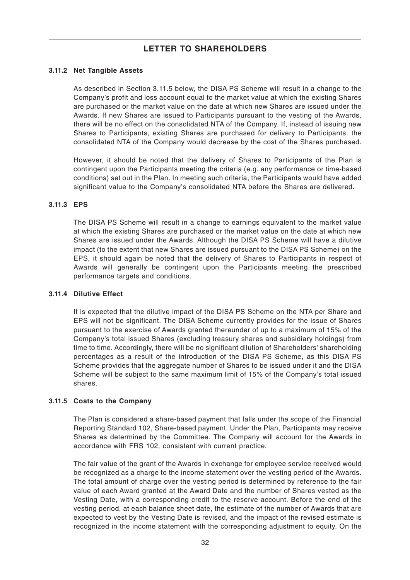#### **3.11.2 Net Tangible Assets**

As described in Section 3.11.5 below, the DISA PS Scheme will result in a change to the Company's profit and loss account equal to the market value at which the existing Shares are purchased or the market value on the date at which new Shares are issued under the Awards. If new Shares are issued to Participants pursuant to the vesting of the Awards, there will be no effect on the consolidated NTA of the Company. If, instead of issuing new Shares to Participants, existing Shares are purchased for delivery to Participants, the consolidated NTA of the Company would decrease by the cost of the Shares purchased.

However, it should be noted that the delivery of Shares to Participants of the Plan is contingent upon the Participants meeting the criteria (e.g. any performance or time-based conditions) set out in the Plan. In meeting such criteria, the Participants would have added significant value to the Company's consolidated NTA before the Shares are delivered.

#### **3.11.3 EPS**

The DISA PS Scheme will result in a change to earnings equivalent to the market value at which the existing Shares are purchased or the market value on the date at which new Shares are issued under the Awards. Although the DISA PS Scheme will have a dilutive impact (to the extent that new Shares are issued pursuant to the DISA PS Scheme) on the EPS, it should again be noted that the delivery of Shares to Participants in respect of Awards will generally be contingent upon the Participants meeting the prescribed performance targets and conditions.

#### **3.11.4 Dilutive Effect**

It is expected that the dilutive impact of the DISA PS Scheme on the NTA per Share and EPS will not be significant. The DISA Scheme currently provides for the issue of Shares pursuant to the exercise of Awards granted thereunder of up to a maximum of 15% of the Company's total issued Shares (excluding treasury shares and subsidiary holdings) from time to time. Accordingly, there will be no significant dilution of Shareholders' shareholding percentages as a result of the introduction of the DISA PS Scheme, as this DISA PS Scheme provides that the aggregate number of Shares to be issued under it and the DISA Scheme will be subject to the same maximum limit of 15% of the Company's total issued shares.

### **3.11.5 Costs to the Company**

The Plan is considered a share-based payment that falls under the scope of the Financial Reporting Standard 102, Share-based payment. Under the Plan, Participants may receive Shares as determined by the Committee. The Company will account for the Awards in accordance with FRS 102, consistent with current practice.

The fair value of the grant of the Awards in exchange for employee service received would be recognized as a charge to the income statement over the vesting period of the Awards. The total amount of charge over the vesting period is determined by reference to the fair value of each Award granted at the Award Date and the number of Shares vested as the Vesting Date, with a corresponding credit to the reserve account. Before the end of the vesting period, at each balance sheet date, the estimate of the number of Awards that are expected to vest by the Vesting Date is revised, and the impact of the revised estimate is recognized in the income statement with the corresponding adjustment to equity. On the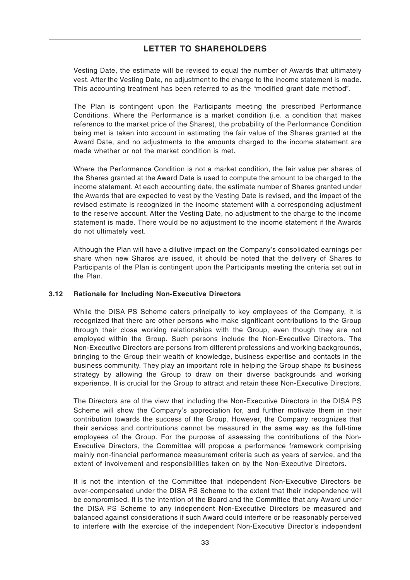Vesting Date, the estimate will be revised to equal the number of Awards that ultimately vest. After the Vesting Date, no adjustment to the charge to the income statement is made. This accounting treatment has been referred to as the "modified grant date method".

The Plan is contingent upon the Participants meeting the prescribed Performance Conditions. Where the Performance is a market condition (i.e. a condition that makes reference to the market price of the Shares), the probability of the Performance Condition being met is taken into account in estimating the fair value of the Shares granted at the Award Date, and no adjustments to the amounts charged to the income statement are made whether or not the market condition is met.

Where the Performance Condition is not a market condition, the fair value per shares of the Shares granted at the Award Date is used to compute the amount to be charged to the income statement. At each accounting date, the estimate number of Shares granted under the Awards that are expected to vest by the Vesting Date is revised, and the impact of the revised estimate is recognized in the income statement with a corresponding adjustment to the reserve account. After the Vesting Date, no adjustment to the charge to the income statement is made. There would be no adjustment to the income statement if the Awards do not ultimately vest.

Although the Plan will have a dilutive impact on the Company's consolidated earnings per share when new Shares are issued, it should be noted that the delivery of Shares to Participants of the Plan is contingent upon the Participants meeting the criteria set out in the Plan.

### **3.12 Rationale for Including Non-Executive Directors**

While the DISA PS Scheme caters principally to key employees of the Company, it is recognized that there are other persons who make significant contributions to the Group through their close working relationships with the Group, even though they are not employed within the Group. Such persons include the Non-Executive Directors. The Non-Executive Directors are persons from different professions and working backgrounds, bringing to the Group their wealth of knowledge, business expertise and contacts in the business community. They play an important role in helping the Group shape its business strategy by allowing the Group to draw on their diverse backgrounds and working experience. It is crucial for the Group to attract and retain these Non-Executive Directors.

The Directors are of the view that including the Non-Executive Directors in the DISA PS Scheme will show the Company's appreciation for, and further motivate them in their contribution towards the success of the Group. However, the Company recognizes that their services and contributions cannot be measured in the same way as the full-time employees of the Group. For the purpose of assessing the contributions of the Non-Executive Directors, the Committee will propose a performance framework comprising mainly non-financial performance measurement criteria such as years of service, and the extent of involvement and responsibilities taken on by the Non-Executive Directors.

It is not the intention of the Committee that independent Non-Executive Directors be over-compensated under the DISA PS Scheme to the extent that their independence will be compromised. It is the intention of the Board and the Committee that any Award under the DISA PS Scheme to any independent Non-Executive Directors be measured and balanced against considerations if such Award could interfere or be reasonably perceived to interfere with the exercise of the independent Non-Executive Director's independent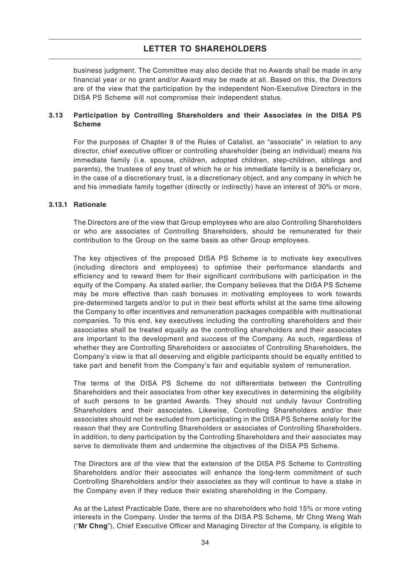business judgment. The Committee may also decide that no Awards shall be made in any financial year or no grant and/or Award may be made at all. Based on this, the Directors are of the view that the participation by the independent Non-Executive Directors in the DISA PS Scheme will not compromise their independent status.

### **3.13 Participation by Controlling Shareholders and their Associates in the DISA PS Scheme**

For the purposes of Chapter 9 of the Rules of Catalist, an "associate" in relation to any director, chief executive officer or controlling shareholder (being an individual) means his immediate family (i.e. spouse, children, adopted children, step-children, siblings and parents), the trustees of any trust of which he or his immediate family is a beneficiary or, in the case of a discretionary trust, is a discretionary object, and any company in which he and his immediate family together (directly or indirectly) have an interest of 30% or more.

### **3.13.1 Rationale**

The Directors are of the view that Group employees who are also Controlling Shareholders or who are associates of Controlling Shareholders, should be remunerated for their contribution to the Group on the same basis as other Group employees.

The key objectives of the proposed DISA PS Scheme is to motivate key executives (including directors and employees) to optimise their performance standards and efficiency and to reward them for their significant contributions with participation in the equity of the Company. As stated earlier, the Company believes that the DISA PS Scheme may be more effective than cash bonuses in motivating employees to work towards pre-determined targets and/or to put in their best efforts whilst at the same time allowing the Company to offer incentives and remuneration packages compatible with multinational companies. To this end, key executives including the controlling shareholders and their associates shall be treated equally as the controlling shareholders and their associates are important to the development and success of the Company. As such, regardless of whether they are Controlling Shareholders or associates of Controlling Shareholders, the Company's view is that all deserving and eligible participants should be equally entitled to take part and benefit from the Company's fair and equitable system of remuneration.

The terms of the DISA PS Scheme do not differentiate between the Controlling Shareholders and their associates from other key executives in determining the eligibility of such persons to be granted Awards. They should not unduly favour Controlling Shareholders and their associates. Likewise, Controlling Shareholders and/or their associates should not be excluded from participating in the DISA PS Scheme solely for the reason that they are Controlling Shareholders or associates of Controlling Shareholders. In addition, to deny participation by the Controlling Shareholders and their associates may serve to demotivate them and undermine the objectives of the DISA PS Scheme.

The Directors are of the view that the extension of the DISA PS Scheme to Controlling Shareholders and/or their associates will enhance the long-term commitment of such Controlling Shareholders and/or their associates as they will continue to have a stake in the Company even if they reduce their existing shareholding in the Company.

As at the Latest Practicable Date, there are no shareholders who hold 15% or more voting interests in the Company. Under the terms of the DISA PS Scheme, Mr Chng Weng Wah ("**Mr Chng**"), Chief Executive Officer and Managing Director of the Company, is eligible to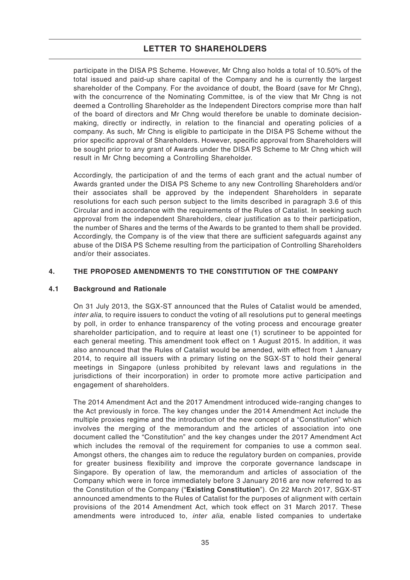participate in the DISA PS Scheme. However, Mr Chng also holds a total of 10.50% of the total issued and paid-up share capital of the Company and he is currently the largest shareholder of the Company. For the avoidance of doubt, the Board (save for Mr Chng), with the concurrence of the Nominating Committee, is of the view that Mr Chng is not deemed a Controlling Shareholder as the Independent Directors comprise more than half of the board of directors and Mr Chng would therefore be unable to dominate decisionmaking, directly or indirectly, in relation to the financial and operating policies of a company. As such, Mr Chng is eligible to participate in the DISA PS Scheme without the prior specific approval of Shareholders. However, specific approval from Shareholders will be sought prior to any grant of Awards under the DISA PS Scheme to Mr Chng which will result in Mr Chng becoming a Controlling Shareholder.

Accordingly, the participation of and the terms of each grant and the actual number of Awards granted under the DISA PS Scheme to any new Controlling Shareholders and/or their associates shall be approved by the independent Shareholders in separate resolutions for each such person subject to the limits described in paragraph 3.6 of this Circular and in accordance with the requirements of the Rules of Catalist. In seeking such approval from the independent Shareholders, clear justification as to their participation, the number of Shares and the terms of the Awards to be granted to them shall be provided. Accordingly, the Company is of the view that there are sufficient safeguards against any abuse of the DISA PS Scheme resulting from the participation of Controlling Shareholders and/or their associates.

### **4. THE PROPOSED AMENDMENTS TO THE CONSTITUTION OF THE COMPANY**

### **4.1 Background and Rationale**

On 31 July 2013, the SGX-ST announced that the Rules of Catalist would be amended, inter alia, to require issuers to conduct the voting of all resolutions put to general meetings by poll, in order to enhance transparency of the voting process and encourage greater shareholder participation, and to require at least one (1) scrutineer to be appointed for each general meeting. This amendment took effect on 1 August 2015. In addition, it was also announced that the Rules of Catalist would be amended, with effect from 1 January 2014, to require all issuers with a primary listing on the SGX-ST to hold their general meetings in Singapore (unless prohibited by relevant laws and regulations in the jurisdictions of their incorporation) in order to promote more active participation and engagement of shareholders.

The 2014 Amendment Act and the 2017 Amendment introduced wide-ranging changes to the Act previously in force. The key changes under the 2014 Amendment Act include the multiple proxies regime and the introduction of the new concept of a "Constitution" which involves the merging of the memorandum and the articles of association into one document called the "Constitution" and the key changes under the 2017 Amendment Act which includes the removal of the requirement for companies to use a common seal. Amongst others, the changes aim to reduce the regulatory burden on companies, provide for greater business flexibility and improve the corporate governance landscape in Singapore. By operation of law, the memorandum and articles of association of the Company which were in force immediately before 3 January 2016 are now referred to as the Constitution of the Company ("**Existing Constitution**"). On 22 March 2017, SGX-ST announced amendments to the Rules of Catalist for the purposes of alignment with certain provisions of the 2014 Amendment Act, which took effect on 31 March 2017. These amendments were introduced to, inter alia, enable listed companies to undertake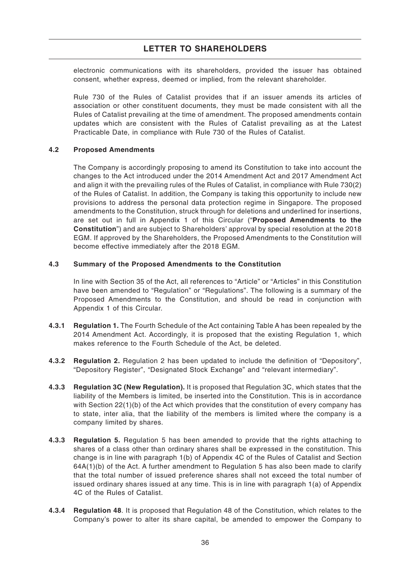electronic communications with its shareholders, provided the issuer has obtained consent, whether express, deemed or implied, from the relevant shareholder.

Rule 730 of the Rules of Catalist provides that if an issuer amends its articles of association or other constituent documents, they must be made consistent with all the Rules of Catalist prevailing at the time of amendment. The proposed amendments contain updates which are consistent with the Rules of Catalist prevailing as at the Latest Practicable Date, in compliance with Rule 730 of the Rules of Catalist.

### **4.2 Proposed Amendments**

The Company is accordingly proposing to amend its Constitution to take into account the changes to the Act introduced under the 2014 Amendment Act and 2017 Amendment Act and align it with the prevailing rules of the Rules of Catalist, in compliance with Rule 730(2) of the Rules of Catalist. In addition, the Company is taking this opportunity to include new provisions to address the personal data protection regime in Singapore. The proposed amendments to the Constitution, struck through for deletions and underlined for insertions, are set out in full in Appendix 1 of this Circular ("**Proposed Amendments to the Constitution**") and are subject to Shareholders' approval by special resolution at the 2018 EGM. If approved by the Shareholders, the Proposed Amendments to the Constitution will become effective immediately after the 2018 EGM.

### **4.3 Summary of the Proposed Amendments to the Constitution**

In line with Section 35 of the Act, all references to "Article" or "Articles" in this Constitution have been amended to "Regulation" or "Regulations". The following is a summary of the Proposed Amendments to the Constitution, and should be read in conjunction with Appendix 1 of this Circular.

- **4.3.1 Regulation 1.** The Fourth Schedule of the Act containing Table A has been repealed by the 2014 Amendment Act. Accordingly, it is proposed that the existing Regulation 1, which makes reference to the Fourth Schedule of the Act, be deleted.
- **4.3.2 Regulation 2.** Regulation 2 has been updated to include the definition of "Depository", "Depository Register", "Designated Stock Exchange" and "relevant intermediary".
- **4.3.3 Regulation 3C (New Regulation).** It is proposed that Regulation 3C, which states that the liability of the Members is limited, be inserted into the Constitution. This is in accordance with Section 22(1)(b) of the Act which provides that the constitution of every company has to state, inter alia, that the liability of the members is limited where the company is a company limited by shares.
- **4.3.3 Regulation 5.** Regulation 5 has been amended to provide that the rights attaching to shares of a class other than ordinary shares shall be expressed in the constitution. This change is in line with paragraph 1(b) of Appendix 4C of the Rules of Catalist and Section  $64A(1)(b)$  of the Act. A further amendment to Regulation 5 has also been made to clarify that the total number of issued preference shares shall not exceed the total number of issued ordinary shares issued at any time. This is in line with paragraph 1(a) of Appendix 4C of the Rules of Catalist.
- **4.3.4 Regulation 48**. It is proposed that Regulation 48 of the Constitution, which relates to the Company's power to alter its share capital, be amended to empower the Company to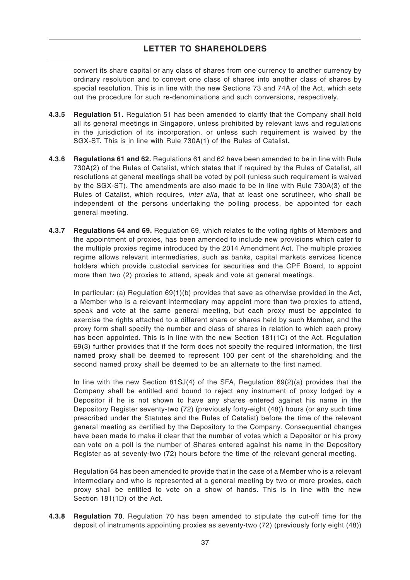convert its share capital or any class of shares from one currency to another currency by ordinary resolution and to convert one class of shares into another class of shares by special resolution. This is in line with the new Sections 73 and 74A of the Act, which sets out the procedure for such re-denominations and such conversions, respectively.

- **4.3.5 Regulation 51.** Regulation 51 has been amended to clarify that the Company shall hold all its general meetings in Singapore, unless prohibited by relevant laws and regulations in the jurisdiction of its incorporation, or unless such requirement is waived by the SGX-ST. This is in line with Rule 730A(1) of the Rules of Catalist.
- **4.3.6 Regulations 61 and 62.** Regulations 61 and 62 have been amended to be in line with Rule 730A(2) of the Rules of Catalist, which states that if required by the Rules of Catalist, all resolutions at general meetings shall be voted by poll (unless such requirement is waived by the SGX-ST). The amendments are also made to be in line with Rule 730A(3) of the Rules of Catalist, which requires, *inter alia*, that at least one scrutineer, who shall be independent of the persons undertaking the polling process, be appointed for each general meeting.
- **4.3.7 Regulations 64 and 69.** Regulation 69, which relates to the voting rights of Members and the appointment of proxies, has been amended to include new provisions which cater to the multiple proxies regime introduced by the 2014 Amendment Act. The multiple proxies regime allows relevant intermediaries, such as banks, capital markets services licence holders which provide custodial services for securities and the CPF Board, to appoint more than two (2) proxies to attend, speak and vote at general meetings.

In particular: (a) Regulation 69(1)(b) provides that save as otherwise provided in the Act, a Member who is a relevant intermediary may appoint more than two proxies to attend, speak and vote at the same general meeting, but each proxy must be appointed to exercise the rights attached to a different share or shares held by such Member, and the proxy form shall specify the number and class of shares in relation to which each proxy has been appointed. This is in line with the new Section 181(1C) of the Act. Regulation 69(3) further provides that if the form does not specify the required information, the first named proxy shall be deemed to represent 100 per cent of the shareholding and the second named proxy shall be deemed to be an alternate to the first named.

In line with the new Section 81SJ(4) of the SFA, Regulation 69(2)(a) provides that the Company shall be entitled and bound to reject any instrument of proxy lodged by a Depositor if he is not shown to have any shares entered against his name in the Depository Register seventy-two (72) (previously forty-eight (48)) hours (or any such time prescribed under the Statutes and the Rules of Catalist) before the time of the relevant general meeting as certified by the Depository to the Company. Consequential changes have been made to make it clear that the number of votes which a Depositor or his proxy can vote on a poll is the number of Shares entered against his name in the Depository Register as at seventy-two (72) hours before the time of the relevant general meeting.

Regulation 64 has been amended to provide that in the case of a Member who is a relevant intermediary and who is represented at a general meeting by two or more proxies, each proxy shall be entitled to vote on a show of hands. This is in line with the new Section 181(1D) of the Act.

**4.3.8 Regulation 70**. Regulation 70 has been amended to stipulate the cut-off time for the deposit of instruments appointing proxies as seventy-two (72) (previously forty eight (48))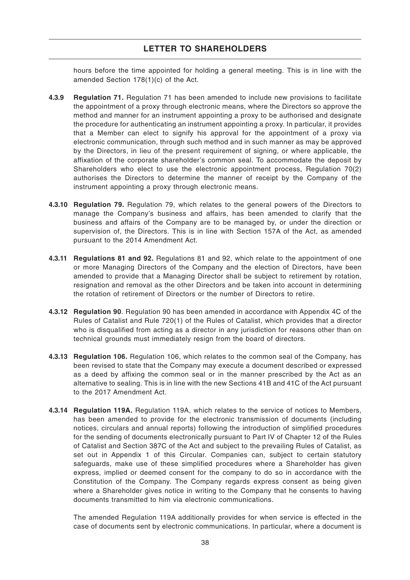hours before the time appointed for holding a general meeting. This is in line with the amended Section 178(1)(c) of the Act.

- **4.3.9 Regulation 71.** Regulation 71 has been amended to include new provisions to facilitate the appointment of a proxy through electronic means, where the Directors so approve the method and manner for an instrument appointing a proxy to be authorised and designate the procedure for authenticating an instrument appointing a proxy. In particular, it provides that a Member can elect to signify his approval for the appointment of a proxy via electronic communication, through such method and in such manner as may be approved by the Directors, in lieu of the present requirement of signing, or where applicable, the affixation of the corporate shareholder's common seal. To accommodate the deposit by Shareholders who elect to use the electronic appointment process, Regulation 70(2) authorises the Directors to determine the manner of receipt by the Company of the instrument appointing a proxy through electronic means.
- **4.3.10 Regulation 79.** Regulation 79, which relates to the general powers of the Directors to manage the Company's business and affairs, has been amended to clarify that the business and affairs of the Company are to be managed by, or under the direction or supervision of, the Directors. This is in line with Section 157A of the Act, as amended pursuant to the 2014 Amendment Act.
- **4.3.11 Regulations 81 and 92.** Regulations 81 and 92, which relate to the appointment of one or more Managing Directors of the Company and the election of Directors, have been amended to provide that a Managing Director shall be subject to retirement by rotation, resignation and removal as the other Directors and be taken into account in determining the rotation of retirement of Directors or the number of Directors to retire.
- **4.3.12 Regulation 90**. Regulation 90 has been amended in accordance with Appendix 4C of the Rules of Catalist and Rule 720(1) of the Rules of Catalist, which provides that a director who is disqualified from acting as a director in any jurisdiction for reasons other than on technical grounds must immediately resign from the board of directors.
- **4.3.13 Regulation 106.** Regulation 106, which relates to the common seal of the Company, has been revised to state that the Company may execute a document described or expressed as a deed by affixing the common seal or in the manner prescribed by the Act as an alternative to sealing. This is in line with the new Sections 41B and 41C of the Act pursuant to the 2017 Amendment Act.
- **4.3.14 Regulation 119A.** Regulation 119A, which relates to the service of notices to Members, has been amended to provide for the electronic transmission of documents (including notices, circulars and annual reports) following the introduction of simplified procedures for the sending of documents electronically pursuant to Part IV of Chapter 12 of the Rules of Catalist and Section 387C of the Act and subject to the prevailing Rules of Catalist, as set out in Appendix 1 of this Circular. Companies can, subject to certain statutory safeguards, make use of these simplified procedures where a Shareholder has given express, implied or deemed consent for the company to do so in accordance with the Constitution of the Company. The Company regards express consent as being given where a Shareholder gives notice in writing to the Company that he consents to having documents transmitted to him via electronic communications.

The amended Regulation 119A additionally provides for when service is effected in the case of documents sent by electronic communications. In particular, where a document is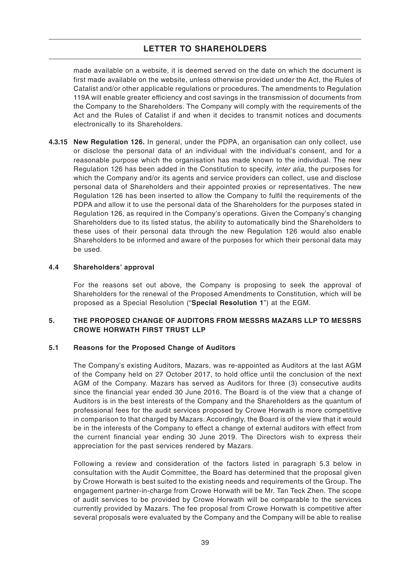made available on a website, it is deemed served on the date on which the document is first made available on the website, unless otherwise provided under the Act, the Rules of Catalist and/or other applicable regulations or procedures. The amendments to Regulation 119A will enable greater efficiency and cost savings in the transmission of documents from the Company to the Shareholders. The Company will comply with the requirements of the Act and the Rules of Catalist if and when it decides to transmit notices and documents electronically to its Shareholders.

**4.3.15 New Regulation 126.** In general, under the PDPA, an organisation can only collect, use or disclose the personal data of an individual with the individual's consent, and for a reasonable purpose which the organisation has made known to the individual. The new Regulation 126 has been added in the Constitution to specify, inter alia, the purposes for which the Company and/or its agents and service providers can collect, use and disclose personal data of Shareholders and their appointed proxies or representatives. The new Regulation 126 has been inserted to allow the Company to fulfil the requirements of the PDPA and allow it to use the personal data of the Shareholders for the purposes stated in Regulation 126, as required in the Company's operations. Given the Company's changing Shareholders due to its listed status, the ability to automatically bind the Shareholders to these uses of their personal data through the new Regulation 126 would also enable Shareholders to be informed and aware of the purposes for which their personal data may be used.

#### **4.4 Shareholders' approval**

For the reasons set out above, the Company is proposing to seek the approval of Shareholders for the renewal of the Proposed Amendments to Constitution, which will be proposed as a Special Resolution ("**Special Resolution 1**") at the EGM.

### **5. THE PROPOSED CHANGE OF AUDITORS FROM MESSRS MAZARS LLP TO MESSRS CROWE HORWATH FIRST TRUST LLP**

### **5.1 Reasons for the Proposed Change of Auditors**

The Company's existing Auditors, Mazars, was re-appointed as Auditors at the last AGM of the Company held on 27 October 2017, to hold office until the conclusion of the next AGM of the Company. Mazars has served as Auditors for three (3) consecutive audits since the financial year ended 30 June 2016. The Board is of the view that a change of Auditors is in the best interests of the Company and the Shareholders as the quantum of professional fees for the audit services proposed by Crowe Horwath is more competitive in comparison to that charged by Mazars. Accordingly, the Board is of the view that it would be in the interests of the Company to effect a change of external auditors with effect from the current financial year ending 30 June 2019. The Directors wish to express their appreciation for the past services rendered by Mazars.

Following a review and consideration of the factors listed in paragraph 5.3 below in consultation with the Audit Committee, the Board has determined that the proposal given by Crowe Horwath is best suited to the existing needs and requirements of the Group. The engagement partner-in-charge from Crowe Horwath will be Mr. Tan Teck Zhen. The scope of audit services to be provided by Crowe Horwath will be comparable to the services currently provided by Mazars. The fee proposal from Crowe Horwath is competitive after several proposals were evaluated by the Company and the Company will be able to realise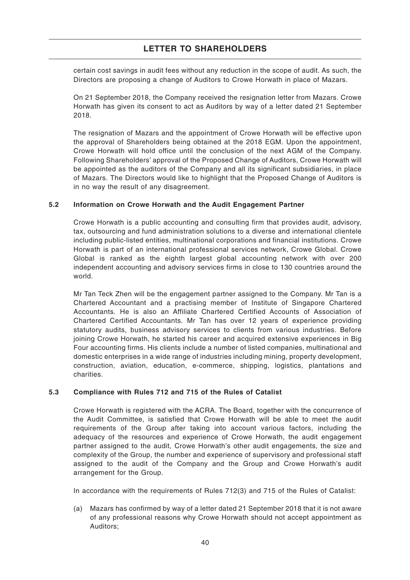certain cost savings in audit fees without any reduction in the scope of audit. As such, the Directors are proposing a change of Auditors to Crowe Horwath in place of Mazars.

On 21 September 2018, the Company received the resignation letter from Mazars. Crowe Horwath has given its consent to act as Auditors by way of a letter dated 21 September 2018.

The resignation of Mazars and the appointment of Crowe Horwath will be effective upon the approval of Shareholders being obtained at the 2018 EGM. Upon the appointment, Crowe Horwath will hold office until the conclusion of the next AGM of the Company. Following Shareholders' approval of the Proposed Change of Auditors, Crowe Horwath will be appointed as the auditors of the Company and all its significant subsidiaries, in place of Mazars. The Directors would like to highlight that the Proposed Change of Auditors is in no way the result of any disagreement.

### **5.2 Information on Crowe Horwath and the Audit Engagement Partner**

Crowe Horwath is a public accounting and consulting firm that provides audit, advisory, tax, outsourcing and fund administration solutions to a diverse and international clientele including public-listed entities, multinational corporations and financial institutions. Crowe Horwath is part of an international professional services network, Crowe Global. Crowe Global is ranked as the eighth largest global accounting network with over 200 independent accounting and advisory services firms in close to 130 countries around the world.

Mr Tan Teck Zhen will be the engagement partner assigned to the Company. Mr Tan is a Chartered Accountant and a practising member of Institute of Singapore Chartered Accountants. He is also an Affiliate Chartered Certified Accounts of Association of Chartered Certified Accountants. Mr Tan has over 12 years of experience providing statutory audits, business advisory services to clients from various industries. Before joining Crowe Horwath, he started his career and acquired extensive experiences in Big Four accounting firms. His clients include a number of listed companies, multinational and domestic enterprises in a wide range of industries including mining, property development, construction, aviation, education, e-commerce, shipping, logistics, plantations and charities.

### **5.3 Compliance with Rules 712 and 715 of the Rules of Catalist**

Crowe Horwath is registered with the ACRA. The Board, together with the concurrence of the Audit Committee, is satisfied that Crowe Horwath will be able to meet the audit requirements of the Group after taking into account various factors, including the adequacy of the resources and experience of Crowe Horwath, the audit engagement partner assigned to the audit, Crowe Horwath's other audit engagements, the size and complexity of the Group, the number and experience of supervisory and professional staff assigned to the audit of the Company and the Group and Crowe Horwath's audit arrangement for the Group.

In accordance with the requirements of Rules 712(3) and 715 of the Rules of Catalist:

(a) Mazars has confirmed by way of a letter dated 21 September 2018 that it is not aware of any professional reasons why Crowe Horwath should not accept appointment as Auditors;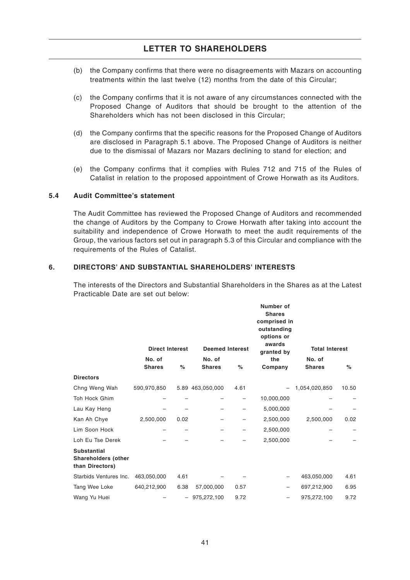- (b) the Company confirms that there were no disagreements with Mazars on accounting treatments within the last twelve (12) months from the date of this Circular;
- (c) the Company confirms that it is not aware of any circumstances connected with the Proposed Change of Auditors that should be brought to the attention of the Shareholders which has not been disclosed in this Circular;
- (d) the Company confirms that the specific reasons for the Proposed Change of Auditors are disclosed in Paragraph 5.1 above. The Proposed Change of Auditors is neither due to the dismissal of Mazars nor Mazars declining to stand for election; and
- (e) the Company confirms that it complies with Rules 712 and 715 of the Rules of Catalist in relation to the proposed appointment of Crowe Horwath as its Auditors.

#### **5.4 Audit Committee's statement**

The Audit Committee has reviewed the Proposed Change of Auditors and recommended the change of Auditors by the Company to Crowe Horwath after taking into account the suitability and independence of Crowe Horwath to meet the audit requirements of the Group, the various factors set out in paragraph 5.3 of this Circular and compliance with the requirements of the Rules of Catalist.

### **6. DIRECTORS' AND SUBSTANTIAL SHAREHOLDERS' INTERESTS**

The interests of the Directors and Substantial Shareholders in the Shares as at the Latest Practicable Date are set out below:

|                                                                     | <b>Direct Interest</b> |                   | <b>Deemed Interest</b> |      | Number of<br><b>Shares</b><br>comprised in<br>outstanding<br>options or<br>awards<br>granted by | <b>Total Interest</b> |       |
|---------------------------------------------------------------------|------------------------|-------------------|------------------------|------|-------------------------------------------------------------------------------------------------|-----------------------|-------|
|                                                                     | No. of                 |                   | No. of                 |      | the                                                                                             | No. of                |       |
|                                                                     | <b>Shares</b>          | $\%$              | <b>Shares</b>          | %    | Company                                                                                         | <b>Shares</b>         | $\%$  |
| <b>Directors</b>                                                    |                        |                   |                        |      |                                                                                                 |                       |       |
| Chng Weng Wah                                                       | 590,970,850            |                   | 5.89 463,050,000       | 4.61 | $\overline{\phantom{0}}$                                                                        | 1,054,020,850         | 10.50 |
| Toh Hock Ghim                                                       |                        |                   |                        |      | 10,000,000                                                                                      |                       |       |
| Lau Kay Heng                                                        |                        |                   |                        |      | 5,000,000                                                                                       |                       |       |
| Kan Ah Chye                                                         | 2,500,000              | 0.02              |                        |      | 2,500,000                                                                                       | 2,500,000             | 0.02  |
| Lim Soon Hock                                                       |                        |                   |                        |      | 2,500,000                                                                                       |                       |       |
| Loh Eu Tse Derek                                                    |                        |                   |                        |      | 2,500,000                                                                                       |                       |       |
| <b>Substantial</b><br><b>Shareholders (other</b><br>than Directors) |                        |                   |                        |      |                                                                                                 |                       |       |
| Starbids Ventures Inc.                                              | 463,050,000            | 4.61              |                        |      | -                                                                                               | 463,050,000           | 4.61  |
| Tang Wee Loke                                                       | 640,212,900            | 6.38              | 57,000,000             | 0.57 | -                                                                                               | 697,212,900           | 6.95  |
| Wang Yu Huei                                                        |                        | $\qquad \qquad -$ | 975,272,100            | 9.72 | -                                                                                               | 975,272,100           | 9.72  |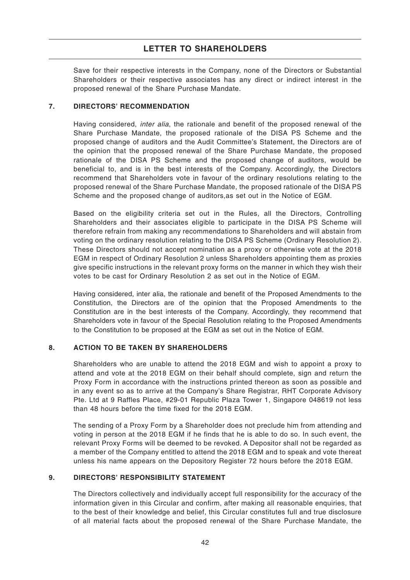Save for their respective interests in the Company, none of the Directors or Substantial Shareholders or their respective associates has any direct or indirect interest in the proposed renewal of the Share Purchase Mandate.

### **7. DIRECTORS' RECOMMENDATION**

Having considered, *inter alia*, the rationale and benefit of the proposed renewal of the Share Purchase Mandate, the proposed rationale of the DISA PS Scheme and the proposed change of auditors and the Audit Committee's Statement, the Directors are of the opinion that the proposed renewal of the Share Purchase Mandate, the proposed rationale of the DISA PS Scheme and the proposed change of auditors, would be beneficial to, and is in the best interests of the Company. Accordingly, the Directors recommend that Shareholders vote in favour of the ordinary resolutions relating to the proposed renewal of the Share Purchase Mandate, the proposed rationale of the DISA PS Scheme and the proposed change of auditors,as set out in the Notice of EGM.

Based on the eligibility criteria set out in the Rules, all the Directors, Controlling Shareholders and their associates eligible to participate in the DISA PS Scheme will therefore refrain from making any recommendations to Shareholders and will abstain from voting on the ordinary resolution relating to the DISA PS Scheme (Ordinary Resolution 2). These Directors should not accept nomination as a proxy or otherwise vote at the 2018 EGM in respect of Ordinary Resolution 2 unless Shareholders appointing them as proxies give specific instructions in the relevant proxy forms on the manner in which they wish their votes to be cast for Ordinary Resolution 2 as set out in the Notice of EGM.

Having considered, inter alia, the rationale and benefit of the Proposed Amendments to the Constitution, the Directors are of the opinion that the Proposed Amendments to the Constitution are in the best interests of the Company. Accordingly, they recommend that Shareholders vote in favour of the Special Resolution relating to the Proposed Amendments to the Constitution to be proposed at the EGM as set out in the Notice of EGM.

### **8. ACTION TO BE TAKEN BY SHAREHOLDERS**

Shareholders who are unable to attend the 2018 EGM and wish to appoint a proxy to attend and vote at the 2018 EGM on their behalf should complete, sign and return the Proxy Form in accordance with the instructions printed thereon as soon as possible and in any event so as to arrive at the Company's Share Registrar, RHT Corporate Advisory Pte. Ltd at 9 Raffles Place, #29-01 Republic Plaza Tower 1, Singapore 048619 not less than 48 hours before the time fixed for the 2018 EGM.

The sending of a Proxy Form by a Shareholder does not preclude him from attending and voting in person at the 2018 EGM if he finds that he is able to do so. In such event, the relevant Proxy Forms will be deemed to be revoked. A Depositor shall not be regarded as a member of the Company entitled to attend the 2018 EGM and to speak and vote thereat unless his name appears on the Depository Register 72 hours before the 2018 EGM.

### **9. DIRECTORS' RESPONSIBILITY STATEMENT**

The Directors collectively and individually accept full responsibility for the accuracy of the information given in this Circular and confirm, after making all reasonable enquiries, that to the best of their knowledge and belief, this Circular constitutes full and true disclosure of all material facts about the proposed renewal of the Share Purchase Mandate, the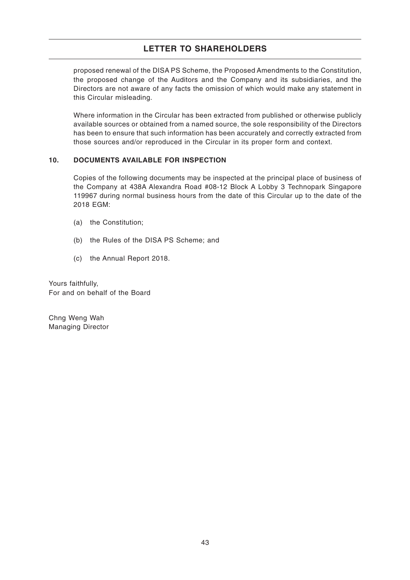proposed renewal of the DISA PS Scheme, the Proposed Amendments to the Constitution, the proposed change of the Auditors and the Company and its subsidiaries, and the Directors are not aware of any facts the omission of which would make any statement in this Circular misleading.

Where information in the Circular has been extracted from published or otherwise publicly available sources or obtained from a named source, the sole responsibility of the Directors has been to ensure that such information has been accurately and correctly extracted from those sources and/or reproduced in the Circular in its proper form and context.

### **10. DOCUMENTS AVAILABLE FOR INSPECTION**

Copies of the following documents may be inspected at the principal place of business of the Company at 438A Alexandra Road #08-12 Block A Lobby 3 Technopark Singapore 119967 during normal business hours from the date of this Circular up to the date of the 2018 EGM:

- (a) the Constitution;
- (b) the Rules of the DISA PS Scheme; and
- (c) the Annual Report 2018.

Yours faithfully, For and on behalf of the Board

Chng Weng Wah Managing Director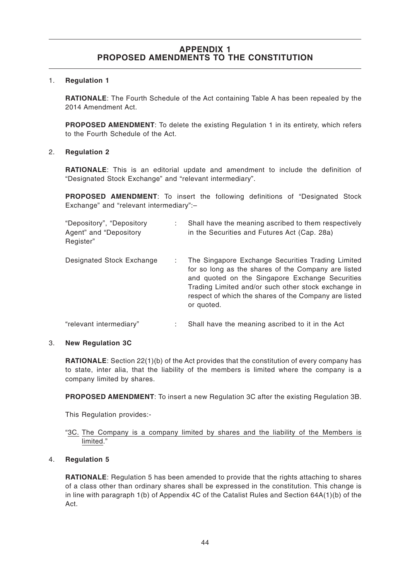#### 1. **Regulation 1**

**RATIONALE**: The Fourth Schedule of the Act containing Table A has been repealed by the 2014 Amendment Act.

**PROPOSED AMENDMENT**: To delete the existing Regulation 1 in its entirety, which refers to the Fourth Schedule of the Act.

#### 2. **Regulation 2**

**RATIONALE**: This is an editorial update and amendment to include the definition of "Designated Stock Exchange" and "relevant intermediary".

**PROPOSED AMENDMENT**: To insert the following definitions of "Designated Stock Exchange" and "relevant intermediary":–

| "Depository", "Depository"<br>Agent" and "Depository<br>Register" | Shall have the meaning ascribed to them respectively<br>in the Securities and Futures Act (Cap. 28a)                                                                                                                                                                                      |
|-------------------------------------------------------------------|-------------------------------------------------------------------------------------------------------------------------------------------------------------------------------------------------------------------------------------------------------------------------------------------|
| Designated Stock Exchange                                         | The Singapore Exchange Securities Trading Limited<br>for so long as the shares of the Company are listed<br>and quoted on the Singapore Exchange Securities<br>Trading Limited and/or such other stock exchange in<br>respect of which the shares of the Company are listed<br>or quoted. |
| "relevant intermediary"                                           | Shall have the meaning ascribed to it in the Act                                                                                                                                                                                                                                          |

### 3. **New Regulation 3C**

**RATIONALE:** Section 22(1)(b) of the Act provides that the constitution of every company has to state, inter alia, that the liability of the members is limited where the company is a company limited by shares.

**PROPOSED AMENDMENT**: To insert a new Regulation 3C after the existing Regulation 3B.

This Regulation provides:-

### "3C. The Company is a company limited by shares and the liability of the Members is limited."

### 4. **Regulation 5**

**RATIONALE**: Regulation 5 has been amended to provide that the rights attaching to shares of a class other than ordinary shares shall be expressed in the constitution. This change is in line with paragraph 1(b) of Appendix 4C of the Catalist Rules and Section 64A(1)(b) of the Act.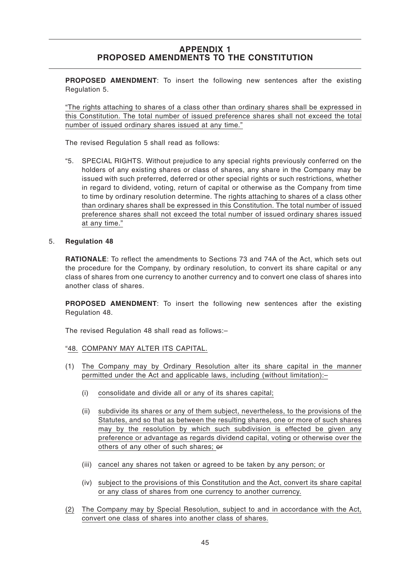**PROPOSED AMENDMENT**: To insert the following new sentences after the existing Regulation 5.

"The rights attaching to shares of a class other than ordinary shares shall be expressed in this Constitution. The total number of issued preference shares shall not exceed the total number of issued ordinary shares issued at any time."

The revised Regulation 5 shall read as follows:

"5. SPECIAL RIGHTS. Without prejudice to any special rights previously conferred on the holders of any existing shares or class of shares, any share in the Company may be issued with such preferred, deferred or other special rights or such restrictions, whether in regard to dividend, voting, return of capital or otherwise as the Company from time to time by ordinary resolution determine. The rights attaching to shares of a class other than ordinary shares shall be expressed in this Constitution. The total number of issued preference shares shall not exceed the total number of issued ordinary shares issued at any time."

#### 5. **Regulation 48**

**RATIONALE**: To reflect the amendments to Sections 73 and 74A of the Act, which sets out the procedure for the Company, by ordinary resolution, to convert its share capital or any class of shares from one currency to another currency and to convert one class of shares into another class of shares.

**PROPOSED AMENDMENT**: To insert the following new sentences after the existing Regulation 48.

The revised Regulation 48 shall read as follows:–

### "48. COMPANY MAY ALTER ITS CAPITAL.

- (1) The Company may by Ordinary Resolution alter its share capital in the manner permitted under the Act and applicable laws, including (without limitation):–
	- (i) consolidate and divide all or any of its shares capital;
	- (ii) subdivide its shares or any of them subject, nevertheless, to the provisions of the Statutes, and so that as between the resulting shares, one or more of such shares may by the resolution by which such subdivision is effected be given any preference or advantage as regards dividend capital, voting or otherwise over the others of any other of such shares; or
	- (iii) cancel any shares not taken or agreed to be taken by any person; or
	- (iv) subject to the provisions of this Constitution and the Act, convert its share capital or any class of shares from one currency to another currency.
- (2) The Company may by Special Resolution, subject to and in accordance with the Act, convert one class of shares into another class of shares.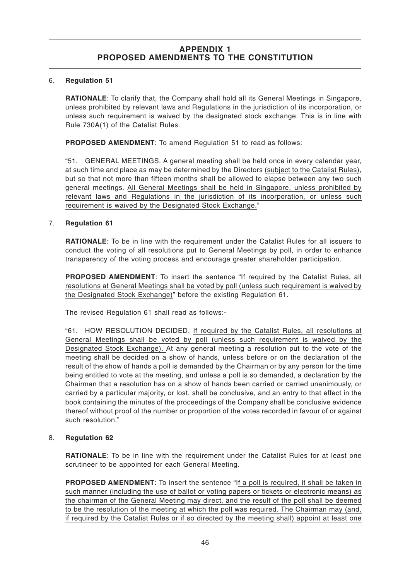### 6. **Regulation 51**

**RATIONALE**: To clarify that, the Company shall hold all its General Meetings in Singapore, unless prohibited by relevant laws and Regulations in the jurisdiction of its incorporation, or unless such requirement is waived by the designated stock exchange. This is in line with Rule 730A(1) of the Catalist Rules.

**PROPOSED AMENDMENT:** To amend Regulation 51 to read as follows:

"51. GENERAL MEETINGS. A general meeting shall be held once in every calendar year, at such time and place as may be determined by the Directors (subject to the Catalist Rules), but so that not more than fifteen months shall be allowed to elapse between any two such general meetings. All General Meetings shall be held in Singapore, unless prohibited by relevant laws and Regulations in the jurisdiction of its incorporation, or unless such requirement is waived by the Designated Stock Exchange."

### 7. **Regulation 61**

**RATIONALE:** To be in line with the requirement under the Catalist Rules for all issuers to conduct the voting of all resolutions put to General Meetings by poll, in order to enhance transparency of the voting process and encourage greater shareholder participation.

**PROPOSED AMENDMENT**: To insert the sentence "If required by the Catalist Rules, all resolutions at General Meetings shall be voted by poll (unless such requirement is waived by the Designated Stock Exchange)" before the existing Regulation 61.

The revised Regulation 61 shall read as follows:-

"61. HOW RESOLUTION DECIDED. If required by the Catalist Rules, all resolutions at General Meetings shall be voted by poll (unless such requirement is waived by the Designated Stock Exchange). At any general meeting a resolution put to the vote of the meeting shall be decided on a show of hands, unless before or on the declaration of the result of the show of hands a poll is demanded by the Chairman or by any person for the time being entitled to vote at the meeting, and unless a poll is so demanded, a declaration by the Chairman that a resolution has on a show of hands been carried or carried unanimously, or carried by a particular majority, or lost, shall be conclusive, and an entry to that effect in the book containing the minutes of the proceedings of the Company shall be conclusive evidence thereof without proof of the number or proportion of the votes recorded in favour of or against such resolution."

### 8. **Regulation 62**

**RATIONALE**: To be in line with the requirement under the Catalist Rules for at least one scrutineer to be appointed for each General Meeting.

**PROPOSED AMENDMENT**: To insert the sentence "If a poll is required, it shall be taken in such manner (including the use of ballot or voting papers or tickets or electronic means) as the chairman of the General Meeting may direct, and the result of the poll shall be deemed to be the resolution of the meeting at which the poll was required. The Chairman may (and, if required by the Catalist Rules or if so directed by the meeting shall) appoint at least one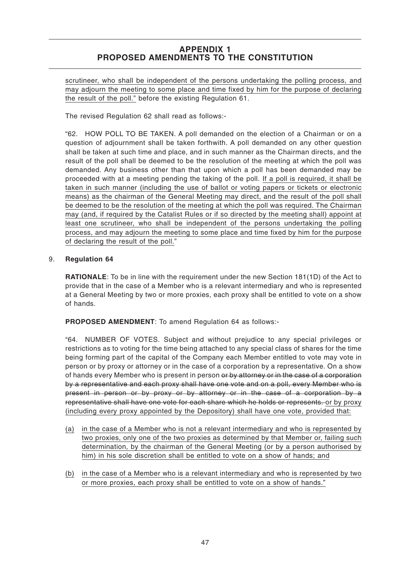scrutineer, who shall be independent of the persons undertaking the polling process, and may adjourn the meeting to some place and time fixed by him for the purpose of declaring the result of the poll." before the existing Regulation 61.

The revised Regulation 62 shall read as follows:-

"62. HOW POLL TO BE TAKEN. A poll demanded on the election of a Chairman or on a question of adjournment shall be taken forthwith. A poll demanded on any other question shall be taken at such time and place, and in such manner as the Chairman directs, and the result of the poll shall be deemed to be the resolution of the meeting at which the poll was demanded. Any business other than that upon which a poll has been demanded may be proceeded with at a meeting pending the taking of the poll. If a poll is required, it shall be taken in such manner (including the use of ballot or voting papers or tickets or electronic means) as the chairman of the General Meeting may direct, and the result of the poll shall be deemed to be the resolution of the meeting at which the poll was required. The Chairman may (and, if required by the Catalist Rules or if so directed by the meeting shall) appoint at least one scrutineer, who shall be independent of the persons undertaking the polling process, and may adjourn the meeting to some place and time fixed by him for the purpose of declaring the result of the poll."

### 9. **Regulation 64**

**RATIONALE**: To be in line with the requirement under the new Section 181(1D) of the Act to provide that in the case of a Member who is a relevant intermediary and who is represented at a General Meeting by two or more proxies, each proxy shall be entitled to vote on a show of hands.

**PROPOSED AMENDMENT**: To amend Regulation 64 as follows:-

"64. NUMBER OF VOTES. Subject and without prejudice to any special privileges or restrictions as to voting for the time being attached to any special class of shares for the time being forming part of the capital of the Company each Member entitled to vote may vote in person or by proxy or attorney or in the case of a corporation by a representative. On a show of hands every Member who is present in person or by attorney or in the case of a corporation by a representative and each proxy shall have one vote and on a poll, every Member who is present in person or by proxy or by attorney or in the case of a corporation by a representative shall have one vote for each share which he holds or represents. or by proxy (including every proxy appointed by the Depository) shall have one vote, provided that:

- (a) in the case of a Member who is not a relevant intermediary and who is represented by two proxies, only one of the two proxies as determined by that Member or, failing such determination, by the chairman of the General Meeting (or by a person authorised by him) in his sole discretion shall be entitled to vote on a show of hands; and
- (b) in the case of a Member who is a relevant intermediary and who is represented by two or more proxies, each proxy shall be entitled to vote on a show of hands."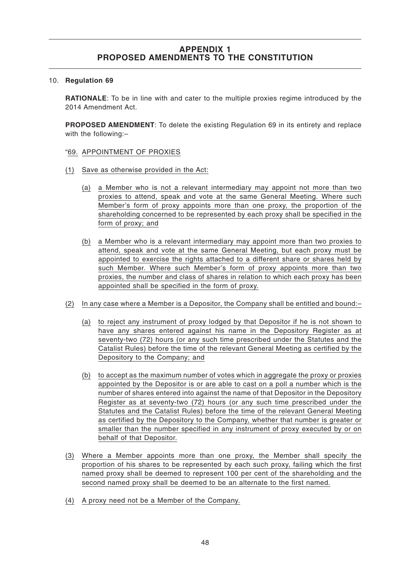#### 10. **Regulation 69**

**RATIONALE**: To be in line with and cater to the multiple proxies regime introduced by the 2014 Amendment Act.

**PROPOSED AMENDMENT**: To delete the existing Regulation 69 in its entirety and replace with the following:–

- "69. APPOINTMENT OF PROXIES
- (1) Save as otherwise provided in the Act:
	- (a) a Member who is not a relevant intermediary may appoint not more than two proxies to attend, speak and vote at the same General Meeting. Where such Member's form of proxy appoints more than one proxy, the proportion of the shareholding concerned to be represented by each proxy shall be specified in the form of proxy; and
	- (b) a Member who is a relevant intermediary may appoint more than two proxies to attend, speak and vote at the same General Meeting, but each proxy must be appointed to exercise the rights attached to a different share or shares held by such Member. Where such Member's form of proxy appoints more than two proxies, the number and class of shares in relation to which each proxy has been appointed shall be specified in the form of proxy.
- (2) In any case where a Member is a Depositor, the Company shall be entitled and bound:–
	- (a) to reject any instrument of proxy lodged by that Depositor if he is not shown to have any shares entered against his name in the Depository Register as at seventy-two (72) hours (or any such time prescribed under the Statutes and the Catalist Rules) before the time of the relevant General Meeting as certified by the Depository to the Company; and
	- (b) to accept as the maximum number of votes which in aggregate the proxy or proxies appointed by the Depositor is or are able to cast on a poll a number which is the number of shares entered into against the name of that Depositor in the Depository Register as at seventy-two (72) hours (or any such time prescribed under the Statutes and the Catalist Rules) before the time of the relevant General Meeting as certified by the Depository to the Company, whether that number is greater or smaller than the number specified in any instrument of proxy executed by or on behalf of that Depositor.
- (3) Where a Member appoints more than one proxy, the Member shall specify the proportion of his shares to be represented by each such proxy, failing which the first named proxy shall be deemed to represent 100 per cent of the shareholding and the second named proxy shall be deemed to be an alternate to the first named.
- (4) A proxy need not be a Member of the Company.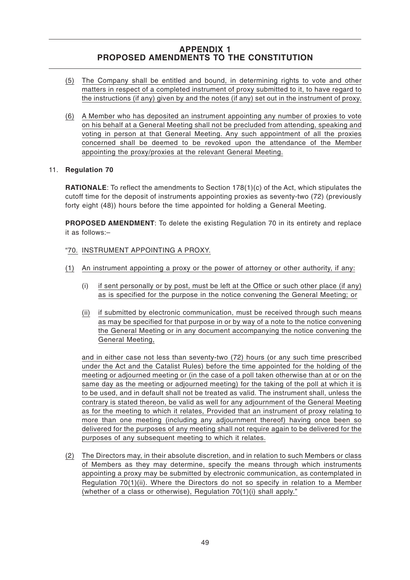- (5) The Company shall be entitled and bound, in determining rights to vote and other matters in respect of a completed instrument of proxy submitted to it, to have regard to the instructions (if any) given by and the notes (if any) set out in the instrument of proxy.
- (6) A Member who has deposited an instrument appointing any number of proxies to vote on his behalf at a General Meeting shall not be precluded from attending, speaking and voting in person at that General Meeting. Any such appointment of all the proxies concerned shall be deemed to be revoked upon the attendance of the Member appointing the proxy/proxies at the relevant General Meeting.

### 11. **Regulation 70**

**RATIONALE**: To reflect the amendments to Section 178(1)(c) of the Act, which stipulates the cutoff time for the deposit of instruments appointing proxies as seventy-two (72) (previously forty eight (48)) hours before the time appointed for holding a General Meeting.

**PROPOSED AMENDMENT**: To delete the existing Regulation 70 in its entirety and replace it as follows:–

### "70. INSTRUMENT APPOINTING A PROXY.

- (1) An instrument appointing a proxy or the power of attorney or other authority, if any:
	- (i) if sent personally or by post, must be left at the Office or such other place (if any) as is specified for the purpose in the notice convening the General Meeting; or
	- (ii) if submitted by electronic communication, must be received through such means as may be specified for that purpose in or by way of a note to the notice convening the General Meeting or in any document accompanying the notice convening the General Meeting,

and in either case not less than seventy-two (72) hours (or any such time prescribed under the Act and the Catalist Rules) before the time appointed for the holding of the meeting or adjourned meeting or (in the case of a poll taken otherwise than at or on the same day as the meeting or adjourned meeting) for the taking of the poll at which it is to be used, and in default shall not be treated as valid. The instrument shall, unless the contrary is stated thereon, be valid as well for any adjournment of the General Meeting as for the meeting to which it relates, Provided that an instrument of proxy relating to more than one meeting (including any adjournment thereof) having once been so delivered for the purposes of any meeting shall not require again to be delivered for the purposes of any subsequent meeting to which it relates.

(2) The Directors may, in their absolute discretion, and in relation to such Members or class of Members as they may determine, specify the means through which instruments appointing a proxy may be submitted by electronic communication, as contemplated in Regulation 70(1)(ii). Where the Directors do not so specify in relation to a Member (whether of a class or otherwise), Regulation  $70(1)(i)$  shall apply."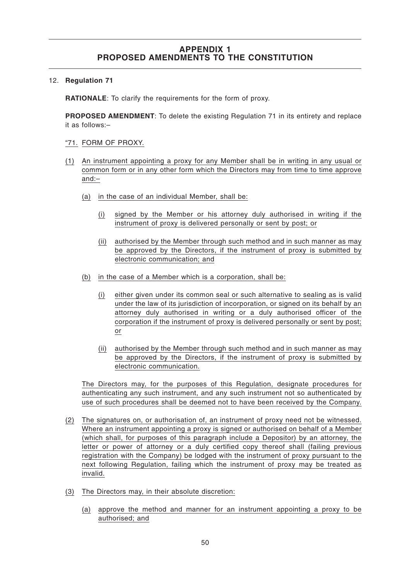### 12. **Regulation 71**

**RATIONALE**: To clarify the requirements for the form of proxy.

**PROPOSED AMENDMENT**: To delete the existing Regulation 71 in its entirety and replace it as follows:–

- "71. FORM OF PROXY.
- (1) An instrument appointing a proxy for any Member shall be in writing in any usual or common form or in any other form which the Directors may from time to time approve and:–
	- (a) in the case of an individual Member, shall be:
		- (i) signed by the Member or his attorney duly authorised in writing if the instrument of proxy is delivered personally or sent by post; or
		- (ii) authorised by the Member through such method and in such manner as may be approved by the Directors, if the instrument of proxy is submitted by electronic communication; and
	- (b) in the case of a Member which is a corporation, shall be:
		- (i) either given under its common seal or such alternative to sealing as is valid under the law of its jurisdiction of incorporation, or signed on its behalf by an attorney duly authorised in writing or a duly authorised officer of the corporation if the instrument of proxy is delivered personally or sent by post; or
		- (ii) authorised by the Member through such method and in such manner as may be approved by the Directors, if the instrument of proxy is submitted by electronic communication.

The Directors may, for the purposes of this Regulation, designate procedures for authenticating any such instrument, and any such instrument not so authenticated by use of such procedures shall be deemed not to have been received by the Company.

- (2) The signatures on, or authorisation of, an instrument of proxy need not be witnessed. Where an instrument appointing a proxy is signed or authorised on behalf of a Member (which shall, for purposes of this paragraph include a Depositor) by an attorney, the letter or power of attorney or a duly certified copy thereof shall (failing previous registration with the Company) be lodged with the instrument of proxy pursuant to the next following Regulation, failing which the instrument of proxy may be treated as invalid.
- (3) The Directors may, in their absolute discretion:
	- (a) approve the method and manner for an instrument appointing a proxy to be authorised; and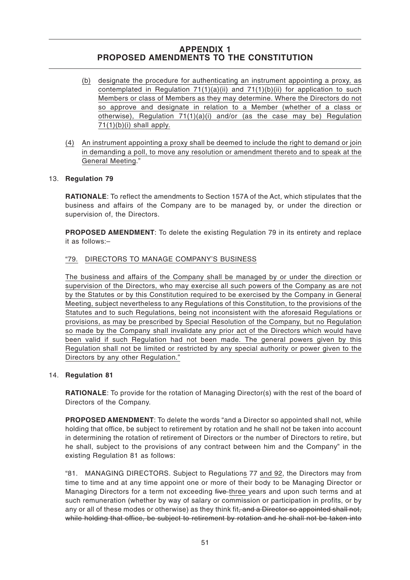- (b) designate the procedure for authenticating an instrument appointing a proxy, as contemplated in Regulation  $71(1)(a)(ii)$  and  $71(1)(b)(ii)$  for application to such Members or class of Members as they may determine. Where the Directors do not so approve and designate in relation to a Member (whether of a class or otherwise), Regulation  $71(1)(a)(i)$  and/or (as the case may be) Regulation  $71(1)(b)(i)$  shall apply.
- (4) An instrument appointing a proxy shall be deemed to include the right to demand or join in demanding a poll, to move any resolution or amendment thereto and to speak at the General Meeting."

### 13. **Regulation 79**

**RATIONALE**: To reflect the amendments to Section 157A of the Act, which stipulates that the business and affairs of the Company are to be managed by, or under the direction or supervision of, the Directors.

**PROPOSED AMENDMENT:** To delete the existing Regulation 79 in its entirety and replace it as follows:–

### "79. DIRECTORS TO MANAGE COMPANY'S BUSINESS

The business and affairs of the Company shall be managed by or under the direction or supervision of the Directors, who may exercise all such powers of the Company as are not by the Statutes or by this Constitution required to be exercised by the Company in General Meeting, subject nevertheless to any Regulations of this Constitution, to the provisions of the Statutes and to such Regulations, being not inconsistent with the aforesaid Regulations or provisions, as may be prescribed by Special Resolution of the Company, but no Regulation so made by the Company shall invalidate any prior act of the Directors which would have been valid if such Regulation had not been made. The general powers given by this Regulation shall not be limited or restricted by any special authority or power given to the Directors by any other Regulation."

### 14. **Regulation 81**

**RATIONALE**: To provide for the rotation of Managing Director(s) with the rest of the board of Directors of the Company.

**PROPOSED AMENDMENT**: To delete the words "and a Director so appointed shall not, while holding that office, be subject to retirement by rotation and he shall not be taken into account in determining the rotation of retirement of Directors or the number of Directors to retire, but he shall, subject to the provisions of any contract between him and the Company" in the existing Regulation 81 as follows:

"81. MANAGING DIRECTORS. Subject to Regulations 77 and 92, the Directors may from time to time and at any time appoint one or more of their body to be Managing Director or Managing Directors for a term not exceeding five three years and upon such terms and at such remuneration (whether by way of salary or commission or participation in profits, or by any or all of these modes or otherwise) as they think fit, and a Director so appointed shall not. while holding that office, be subject to retirement by rotation and he shall not be taken into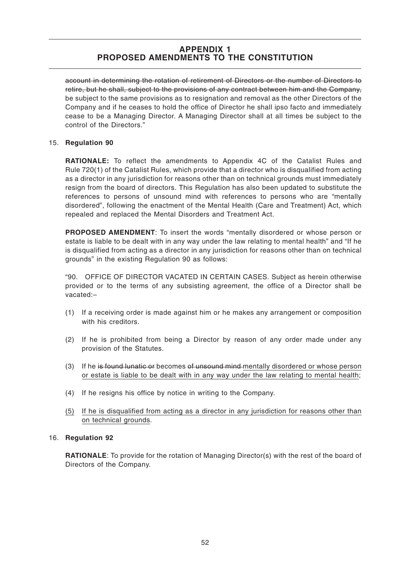account in determining the rotation of retirement of Directors or the number of Directors to retire, but he shall, subject to the provisions of any contract between him and the Company, be subject to the same provisions as to resignation and removal as the other Directors of the Company and if he ceases to hold the office of Director he shall ipso facto and immediately cease to be a Managing Director. A Managing Director shall at all times be subject to the control of the Directors."

### 15. **Regulation 90**

**RATIONALE:** To reflect the amendments to Appendix 4C of the Catalist Rules and Rule 720(1) of the Catalist Rules, which provide that a director who is disqualified from acting as a director in any jurisdiction for reasons other than on technical grounds must immediately resign from the board of directors. This Regulation has also been updated to substitute the references to persons of unsound mind with references to persons who are "mentally disordered", following the enactment of the Mental Health (Care and Treatment) Act, which repealed and replaced the Mental Disorders and Treatment Act.

**PROPOSED AMENDMENT**: To insert the words "mentally disordered or whose person or estate is liable to be dealt with in any way under the law relating to mental health" and "If he is disqualified from acting as a director in any jurisdiction for reasons other than on technical grounds" in the existing Regulation 90 as follows:

"90. OFFICE OF DIRECTOR VACATED IN CERTAIN CASES. Subject as herein otherwise provided or to the terms of any subsisting agreement, the office of a Director shall be vacated:–

- (1) If a receiving order is made against him or he makes any arrangement or composition with his creditors.
- (2) If he is prohibited from being a Director by reason of any order made under any provision of the Statutes.
- (3) If he is found lunatic or becomes of unsound mind mentally disordered or whose person or estate is liable to be dealt with in any way under the law relating to mental health;
- (4) If he resigns his office by notice in writing to the Company.
- (5) If he is disqualified from acting as a director in any jurisdiction for reasons other than on technical grounds.

#### 16. **Regulation 92**

**RATIONALE**: To provide for the rotation of Managing Director(s) with the rest of the board of Directors of the Company.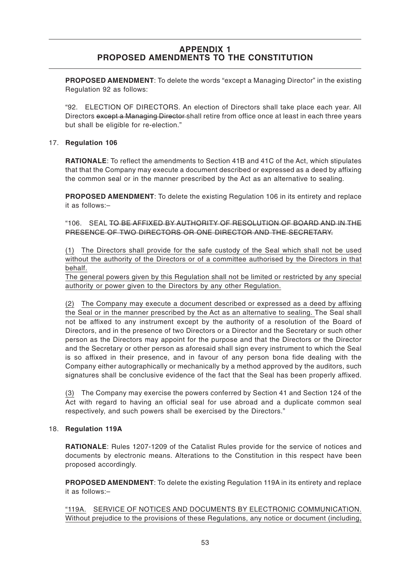**PROPOSED AMENDMENT**: To delete the words "except a Managing Director" in the existing Regulation 92 as follows:

"92. ELECTION OF DIRECTORS. An election of Directors shall take place each year. All Directors except a Managing Director shall retire from office once at least in each three years but shall be eligible for re-election."

### 17. **Regulation 106**

**RATIONALE**: To reflect the amendments to Section 41B and 41C of the Act, which stipulates that that the Company may execute a document described or expressed as a deed by affixing the common seal or in the manner prescribed by the Act as an alternative to sealing.

**PROPOSED AMENDMENT**: To delete the existing Regulation 106 in its entirety and replace it as follows:–

"106. SEAL TO BE AFFIXED BY AUTHORITY OF RESOLUTION OF BOARD AND IN THE PRESENCE OF TWO DIRECTORS OR ONE DIRECTOR AND THE SECRETARY.

(1) The Directors shall provide for the safe custody of the Seal which shall not be used without the authority of the Directors or of a committee authorised by the Directors in that behalf.

The general powers given by this Regulation shall not be limited or restricted by any special authority or power given to the Directors by any other Regulation.

(2) The Company may execute a document described or expressed as a deed by affixing the Seal or in the manner prescribed by the Act as an alternative to sealing. The Seal shall not be affixed to any instrument except by the authority of a resolution of the Board of Directors, and in the presence of two Directors or a Director and the Secretary or such other person as the Directors may appoint for the purpose and that the Directors or the Director and the Secretary or other person as aforesaid shall sign every instrument to which the Seal is so affixed in their presence, and in favour of any person bona fide dealing with the Company either autographically or mechanically by a method approved by the auditors, such signatures shall be conclusive evidence of the fact that the Seal has been properly affixed.

(3) The Company may exercise the powers conferred by Section 41 and Section 124 of the Act with regard to having an official seal for use abroad and a duplicate common seal respectively, and such powers shall be exercised by the Directors."

### 18. **Regulation 119A**

**RATIONALE**: Rules 1207-1209 of the Catalist Rules provide for the service of notices and documents by electronic means. Alterations to the Constitution in this respect have been proposed accordingly.

**PROPOSED AMENDMENT**: To delete the existing Regulation 119A in its entirety and replace it as follows:–

"119A. SERVICE OF NOTICES AND DOCUMENTS BY ELECTRONIC COMMUNICATION. Without prejudice to the provisions of these Regulations, any notice or document (including,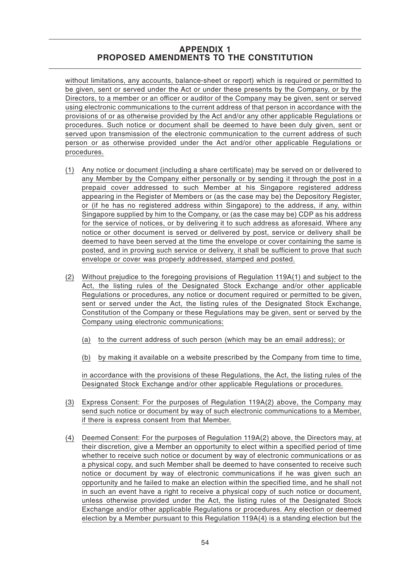without limitations, any accounts, balance-sheet or report) which is required or permitted to be given, sent or served under the Act or under these presents by the Company, or by the Directors, to a member or an officer or auditor of the Company may be given, sent or served using electronic communications to the current address of that person in accordance with the provisions of or as otherwise provided by the Act and/or any other applicable Regulations or procedures. Such notice or document shall be deemed to have been duly given, sent or served upon transmission of the electronic communication to the current address of such person or as otherwise provided under the Act and/or other applicable Regulations or procedures.

- (1) Any notice or document (including a share certificate) may be served on or delivered to any Member by the Company either personally or by sending it through the post in a prepaid cover addressed to such Member at his Singapore registered address appearing in the Register of Members or (as the case may be) the Depository Register, or (if he has no registered address within Singapore) to the address, if any, within Singapore supplied by him to the Company, or (as the case may be) CDP as his address for the service of notices, or by delivering it to such address as aforesaid. Where any notice or other document is served or delivered by post, service or delivery shall be deemed to have been served at the time the envelope or cover containing the same is posted, and in proving such service or delivery, it shall be sufficient to prove that such envelope or cover was properly addressed, stamped and posted.
- (2) Without prejudice to the foregoing provisions of Regulation 119A(1) and subject to the Act, the listing rules of the Designated Stock Exchange and/or other applicable Regulations or procedures, any notice or document required or permitted to be given, sent or served under the Act, the listing rules of the Designated Stock Exchange, Constitution of the Company or these Regulations may be given, sent or served by the Company using electronic communications:
	- (a) to the current address of such person (which may be an email address); or
	- (b) by making it available on a website prescribed by the Company from time to time,

in accordance with the provisions of these Regulations, the Act, the listing rules of the Designated Stock Exchange and/or other applicable Regulations or procedures.

- (3) Express Consent: For the purposes of Regulation 119A(2) above, the Company may send such notice or document by way of such electronic communications to a Member, if there is express consent from that Member.
- (4) Deemed Consent: For the purposes of Regulation 119A(2) above, the Directors may, at their discretion, give a Member an opportunity to elect within a specified period of time whether to receive such notice or document by way of electronic communications or as a physical copy, and such Member shall be deemed to have consented to receive such notice or document by way of electronic communications if he was given such an opportunity and he failed to make an election within the specified time, and he shall not in such an event have a right to receive a physical copy of such notice or document, unless otherwise provided under the Act, the listing rules of the Designated Stock Exchange and/or other applicable Regulations or procedures. Any election or deemed election by a Member pursuant to this Regulation 119A(4) is a standing election but the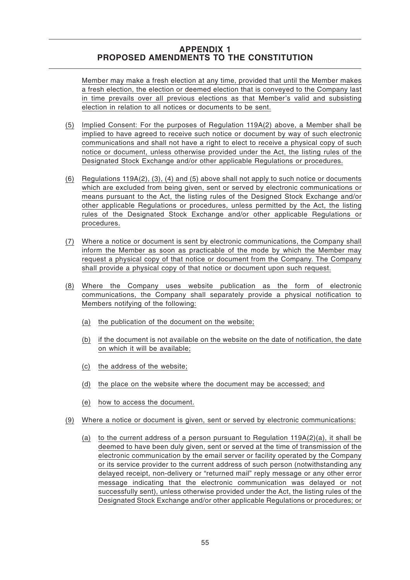Member may make a fresh election at any time, provided that until the Member makes a fresh election, the election or deemed election that is conveyed to the Company last in time prevails over all previous elections as that Member's valid and subsisting election in relation to all notices or documents to be sent.

- (5) Implied Consent: For the purposes of Regulation 119A(2) above, a Member shall be implied to have agreed to receive such notice or document by way of such electronic communications and shall not have a right to elect to receive a physical copy of such notice or document, unless otherwise provided under the Act, the listing rules of the Designated Stock Exchange and/or other applicable Regulations or procedures.
- (6) Regulations 119A(2), (3), (4) and (5) above shall not apply to such notice or documents which are excluded from being given, sent or served by electronic communications or means pursuant to the Act, the listing rules of the Designed Stock Exchange and/or other applicable Regulations or procedures, unless permitted by the Act, the listing rules of the Designated Stock Exchange and/or other applicable Regulations or procedures.
- (7) Where a notice or document is sent by electronic communications, the Company shall inform the Member as soon as practicable of the mode by which the Member may request a physical copy of that notice or document from the Company. The Company shall provide a physical copy of that notice or document upon such request.
- (8) Where the Company uses website publication as the form of electronic communications, the Company shall separately provide a physical notification to Members notifying of the following:
	- (a) the publication of the document on the website;
	- (b) if the document is not available on the website on the date of notification, the date on which it will be available;
	- (c) the address of the website;
	- (d) the place on the website where the document may be accessed; and
	- (e) how to access the document.
- (9) Where a notice or document is given, sent or served by electronic communications:
	- (a) to the current address of a person pursuant to Regulation  $119A(2)(a)$ , it shall be deemed to have been duly given, sent or served at the time of transmission of the electronic communication by the email server or facility operated by the Company or its service provider to the current address of such person (notwithstanding any delayed receipt, non-delivery or "returned mail" reply message or any other error message indicating that the electronic communication was delayed or not successfully sent), unless otherwise provided under the Act, the listing rules of the Designated Stock Exchange and/or other applicable Regulations or procedures; or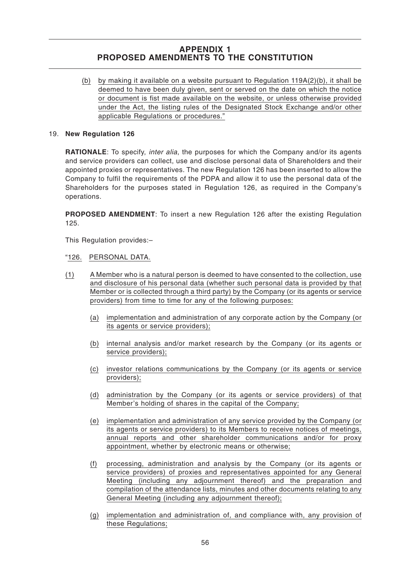(b) by making it available on a website pursuant to Regulation  $119A(2)(b)$ , it shall be deemed to have been duly given, sent or served on the date on which the notice or document is fist made available on the website, or unless otherwise provided under the Act, the listing rules of the Designated Stock Exchange and/or other applicable Regulations or procedures."

### 19. **New Regulation 126**

**RATIONALE**: To specify, *inter alia*, the purposes for which the Company and/or its agents and service providers can collect, use and disclose personal data of Shareholders and their appointed proxies or representatives. The new Regulation 126 has been inserted to allow the Company to fulfil the requirements of the PDPA and allow it to use the personal data of the Shareholders for the purposes stated in Regulation 126, as required in the Company's operations.

**PROPOSED AMENDMENT**: To insert a new Regulation 126 after the existing Regulation 125.

This Regulation provides:–

#### "126. PERSONAL DATA.

- (1) A Member who is a natural person is deemed to have consented to the collection, use and disclosure of his personal data (whether such personal data is provided by that Member or is collected through a third party) by the Company (or its agents or service providers) from time to time for any of the following purposes:
	- (a) implementation and administration of any corporate action by the Company (or its agents or service providers);
	- (b) internal analysis and/or market research by the Company (or its agents or service providers);
	- (c) investor relations communications by the Company (or its agents or service providers);
	- (d) administration by the Company (or its agents or service providers) of that Member's holding of shares in the capital of the Company;
	- (e) implementation and administration of any service provided by the Company (or its agents or service providers) to its Members to receive notices of meetings, annual reports and other shareholder communications and/or for proxy appointment, whether by electronic means or otherwise;
	- (f) processing, administration and analysis by the Company (or its agents or service providers) of proxies and representatives appointed for any General Meeting (including any adjournment thereof) and the preparation and compilation of the attendance lists, minutes and other documents relating to any General Meeting (including any adjournment thereof);
	- (g) implementation and administration of, and compliance with, any provision of these Regulations;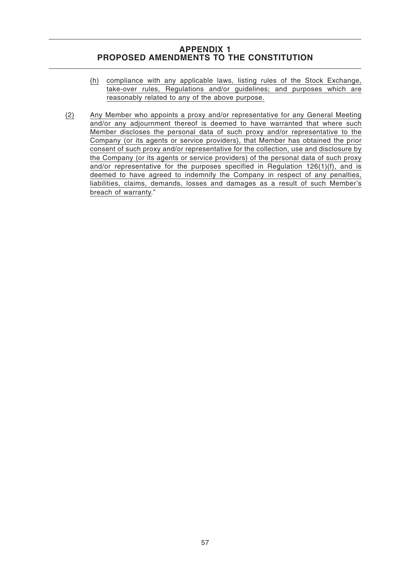- (h) compliance with any applicable laws, listing rules of the Stock Exchange, take-over rules, Regulations and/or guidelines; and purposes which are reasonably related to any of the above purpose.
- (2) Any Member who appoints a proxy and/or representative for any General Meeting and/or any adjournment thereof is deemed to have warranted that where such Member discloses the personal data of such proxy and/or representative to the Company (or its agents or service providers), that Member has obtained the prior consent of such proxy and/or representative for the collection, use and disclosure by the Company (or its agents or service providers) of the personal data of such proxy and/or representative for the purposes specified in Regulation  $126(1)(f)$ , and is deemed to have agreed to indemnify the Company in respect of any penalties, liabilities, claims, demands, losses and damages as a result of such Member's breach of warranty."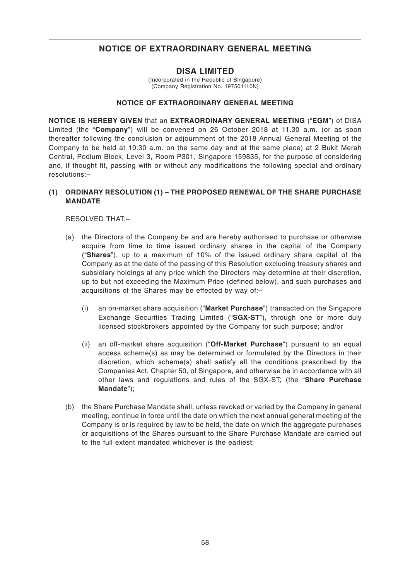### **DISA LIMITED**

(Incorporated in the Republic of Singapore) (Company Registration No. 197501110N)

### **NOTICE OF EXTRAORDINARY GENERAL MEETING**

**NOTICE IS HEREBY GIVEN** that an **EXTRAORDINARY GENERAL MEETING** ("**EGM**") of DISA Limited (the "**Company**") will be convened on 26 October 2018 at 11.30 a.m. (or as soon thereafter following the conclusion or adjournment of the 2018 Annual General Meeting of the Company to be held at 10:30 a.m. on the same day and at the same place) at 2 Bukit Merah Central, Podium Block, Level 3, Room P301, Singapore 159835, for the purpose of considering and, if thought fit, passing with or without any modifications the following special and ordinary resolutions:–

### **(1) ORDINARY RESOLUTION (1) – THE PROPOSED RENEWAL OF THE SHARE PURCHASE MANDATE**

RESOLVED THAT:–

- (a) the Directors of the Company be and are hereby authorised to purchase or otherwise acquire from time to time issued ordinary shares in the capital of the Company ("**Shares**"), up to a maximum of 10% of the issued ordinary share capital of the Company as at the date of the passing of this Resolution excluding treasury shares and subsidiary holdings at any price which the Directors may determine at their discretion, up to but not exceeding the Maximum Price (defined below), and such purchases and acquisitions of the Shares may be effected by way of:–
	- (i) an on-market share acquisition ("**Market Purchase**") transacted on the Singapore Exchange Securities Trading Limited ("**SGX-ST**"), through one or more duly licensed stockbrokers appointed by the Company for such purpose; and/or
	- (ii) an off-market share acquisition ("**Off-Market Purchase**") pursuant to an equal access scheme(s) as may be determined or formulated by the Directors in their discretion, which scheme(s) shall satisfy all the conditions prescribed by the Companies Act, Chapter 50, of Singapore, and otherwise be in accordance with all other laws and regulations and rules of the SGX-ST; (the "**Share Purchase Mandate**");
- (b) the Share Purchase Mandate shall, unless revoked or varied by the Company in general meeting, continue in force until the date on which the next annual general meeting of the Company is or is required by law to be held, the date on which the aggregate purchases or acquisitions of the Shares pursuant to the Share Purchase Mandate are carried out to the full extent mandated whichever is the earliest;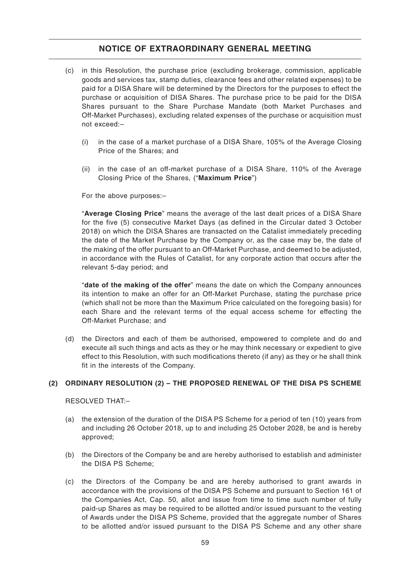- (c) in this Resolution, the purchase price (excluding brokerage, commission, applicable goods and services tax, stamp duties, clearance fees and other related expenses) to be paid for a DISA Share will be determined by the Directors for the purposes to effect the purchase or acquisition of DISA Shares. The purchase price to be paid for the DISA Shares pursuant to the Share Purchase Mandate (both Market Purchases and Off-Market Purchases), excluding related expenses of the purchase or acquisition must not exceed:–
	- (i) in the case of a market purchase of a DISA Share, 105% of the Average Closing Price of the Shares; and
	- (ii) in the case of an off-market purchase of a DISA Share, 110% of the Average Closing Price of the Shares, ("**Maximum Price**")

For the above purposes:–

"**Average Closing Price**" means the average of the last dealt prices of a DISA Share for the five (5) consecutive Market Days (as defined in the Circular dated 3 October 2018) on which the DISA Shares are transacted on the Catalist immediately preceding the date of the Market Purchase by the Company or, as the case may be, the date of the making of the offer pursuant to an Off-Market Purchase, and deemed to be adjusted, in accordance with the Rules of Catalist, for any corporate action that occurs after the relevant 5-day period; and

"**date of the making of the offer**" means the date on which the Company announces its intention to make an offer for an Off-Market Purchase, stating the purchase price (which shall not be more than the Maximum Price calculated on the foregoing basis) for each Share and the relevant terms of the equal access scheme for effecting the Off-Market Purchase; and

(d) the Directors and each of them be authorised, empowered to complete and do and execute all such things and acts as they or he may think necessary or expedient to give effect to this Resolution, with such modifications thereto (if any) as they or he shall think fit in the interests of the Company.

### **(2) ORDINARY RESOLUTION (2) – THE PROPOSED RENEWAL OF THE DISA PS SCHEME**

RESOLVED THAT:–

- (a) the extension of the duration of the DISA PS Scheme for a period of ten (10) years from and including 26 October 2018, up to and including 25 October 2028, be and is hereby approved;
- (b) the Directors of the Company be and are hereby authorised to establish and administer the DISA PS Scheme;
- (c) the Directors of the Company be and are hereby authorised to grant awards in accordance with the provisions of the DISA PS Scheme and pursuant to Section 161 of the Companies Act, Cap. 50, allot and issue from time to time such number of fully paid-up Shares as may be required to be allotted and/or issued pursuant to the vesting of Awards under the DISA PS Scheme, provided that the aggregate number of Shares to be allotted and/or issued pursuant to the DISA PS Scheme and any other share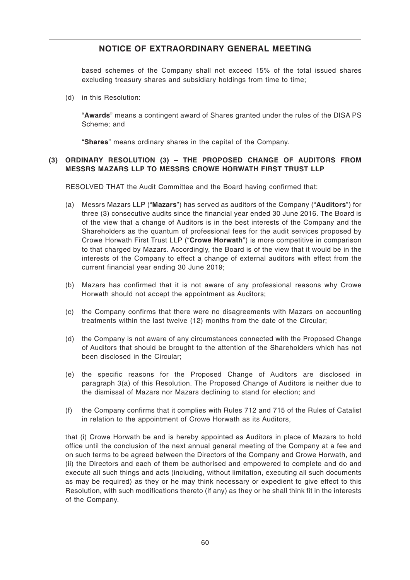based schemes of the Company shall not exceed 15% of the total issued shares excluding treasury shares and subsidiary holdings from time to time;

(d) in this Resolution:

"**Awards**" means a contingent award of Shares granted under the rules of the DISA PS Scheme; and

"**Shares**" means ordinary shares in the capital of the Company.

### **(3) ORDINARY RESOLUTION (3) – THE PROPOSED CHANGE OF AUDITORS FROM MESSRS MAZARS LLP TO MESSRS CROWE HORWATH FIRST TRUST LLP**

RESOLVED THAT the Audit Committee and the Board having confirmed that:

- (a) Messrs Mazars LLP ("**Mazars**") has served as auditors of the Company ("**Auditors**") for three (3) consecutive audits since the financial year ended 30 June 2016. The Board is of the view that a change of Auditors is in the best interests of the Company and the Shareholders as the quantum of professional fees for the audit services proposed by Crowe Horwath First Trust LLP ("**Crowe Horwath**") is more competitive in comparison to that charged by Mazars. Accordingly, the Board is of the view that it would be in the interests of the Company to effect a change of external auditors with effect from the current financial year ending 30 June 2019;
- (b) Mazars has confirmed that it is not aware of any professional reasons why Crowe Horwath should not accept the appointment as Auditors;
- (c) the Company confirms that there were no disagreements with Mazars on accounting treatments within the last twelve (12) months from the date of the Circular;
- (d) the Company is not aware of any circumstances connected with the Proposed Change of Auditors that should be brought to the attention of the Shareholders which has not been disclosed in the Circular;
- (e) the specific reasons for the Proposed Change of Auditors are disclosed in paragraph 3(a) of this Resolution. The Proposed Change of Auditors is neither due to the dismissal of Mazars nor Mazars declining to stand for election; and
- (f) the Company confirms that it complies with Rules 712 and 715 of the Rules of Catalist in relation to the appointment of Crowe Horwath as its Auditors,

that (i) Crowe Horwath be and is hereby appointed as Auditors in place of Mazars to hold office until the conclusion of the next annual general meeting of the Company at a fee and on such terms to be agreed between the Directors of the Company and Crowe Horwath, and (ii) the Directors and each of them be authorised and empowered to complete and do and execute all such things and acts (including, without limitation, executing all such documents as may be required) as they or he may think necessary or expedient to give effect to this Resolution, with such modifications thereto (if any) as they or he shall think fit in the interests of the Company.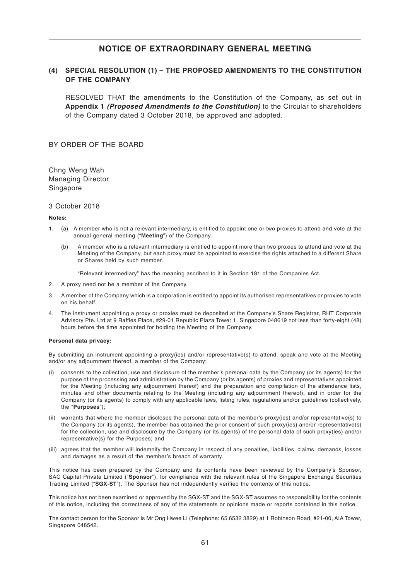#### **(4) SPECIAL RESOLUTION (1) – THE PROPOSED AMENDMENTS TO THE CONSTITUTION OF THE COMPANY**

RESOLVED THAT the amendments to the Constitution of the Company, as set out in **Appendix 1 (Proposed Amendments to the Constitution)** to the Circular to shareholders of the Company dated 3 October 2018, be approved and adopted.

BY ORDER OF THE BOARD

Chng Weng Wah Managing Director Singapore

#### 3 October 2018

#### **Notes:**

- 1. (a) A member who is not a relevant intermediary, is entitled to appoint one or two proxies to attend and vote at the annual general meeting ("**Meeting**") of the Company.
	- (b) A member who is a relevant intermediary is entitled to appoint more than two proxies to attend and vote at the Meeting of the Company, but each proxy must be appointed to exercise the rights attached to a different Share or Shares held by such member.

"Relevant intermediary" has the meaning ascribed to it in Section 181 of the Companies Act.

- 2. A proxy need not be a member of the Company.
- 3. A member of the Company which is a corporation is entitled to appoint its authorised representatives or proxies to vote on his behalf.
- 4. The instrument appointing a proxy or proxies must be deposited at the Company's Share Registrar, RHT Corporate Advisory Pte. Ltd at 9 Raffles Place, #29-01 Republic Plaza Tower 1, Singapore 048619 not less than forty-eight (48) hours before the time appointed for holding the Meeting of the Company.

#### **Personal data privacy:**

By submitting an instrument appointing a proxy(ies) and/or representative(s) to attend, speak and vote at the Meeting and/or any adjournment thereof, a member of the Company:

- (i) consents to the collection, use and disclosure of the member's personal data by the Company (or its agents) for the purpose of the processing and administration by the Company (or its agents) of proxies and representatives appointed for the Meeting (including any adjournment thereof) and the preparation and compilation of the attendance lists, minutes and other documents relating to the Meeting (including any adjournment thereof), and in order for the Company (or its agents) to comply with any applicable laws, listing rules, regulations and/or guidelines (collectively, the "**Purposes**");
- (ii) warrants that where the member discloses the personal data of the member's proxy(ies) and/or representative(s) to the Company (or its agents), the member has obtained the prior consent of such proxy(ies) and/or representative(s) for the collection, use and disclosure by the Company (or its agents) of the personal data of such proxy(ies) and/or representative(s) for the Purposes; and
- (iii) agrees that the member will indemnify the Company in respect of any penalties, liabilities, claims, demands, losses and damages as a result of the member's breach of warranty.

This notice has been prepared by the Company and its contents have been reviewed by the Company's Sponsor, SAC Capital Private Limited ("**Sponsor**"), for compliance with the relevant rules of the Singapore Exchange Securities Trading Limited ("**SGX-ST**"). The Sponsor has not independently verified the contents of this notice.

This notice has not been examined or approved by the SGX-ST and the SGX-ST assumes no responsibility for the contents of this notice, including the correctness of any of the statements or opinions made or reports contained in this notice.

The contact person for the Sponsor is Mr Ong Hwee Li (Telephone: 65 6532 3829) at 1 Robinson Road, #21-00, AIA Tower, Singapore 048542.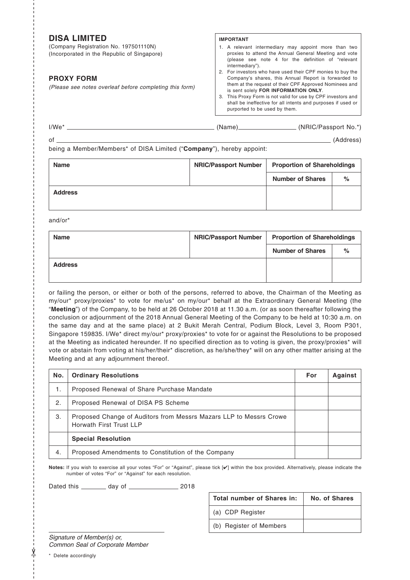## **DISA LIMITED**

(Company Registration No. 197501110N) (Incorporated in the Republic of Singapore)

#### **PROXY FORM**

(Please see notes overleaf before completing this form)

#### **IMPORTANT**

- 1. A relevant intermediary may appoint more than two proxies to attend the Annual General Meeting and vote (please see note 4 for the definition of "relevant intermediary").
- 2. For investors who have used their CPF monies to buy the Company's shares, this Annual Report is forwarded to them at the request of their CPF Approved Nominees and is sent solely **FOR INFORMATION ONLY**.
- 3. This Proxy Form is not valid for use by CPF investors and shall be ineffective for all intents and purposes if used or purported to be used by them.

| $I/We^*$ | 'Name` | (NRIC/Passport No.*) |
|----------|--------|----------------------|
|          |        |                      |

of (Address)

being a Member/Members\* of DISA Limited ("**Company**"), hereby appoint:

| <b>Name</b>    | <b>NRIC/Passport Number</b> | <b>Proportion of Shareholdings</b> |      |
|----------------|-----------------------------|------------------------------------|------|
|                |                             | <b>Number of Shares</b>            | $\%$ |
| <b>Address</b> |                             |                                    |      |
|                |                             |                                    |      |

and/or\*

- - - - - - - - - - - - - - - - - - - - - - - - - - - - - - - - - - - - - - - - - - - - - - - - - - -- - - - - - - - - - - - - - - - - - - - - - - - - - - - - - - - - - - - - - - - - - - - - - - - - - -- - - - - - - - - - - - - - - - - - - - - - - - - - - - - - - - - - - - - - - - -

| <b>Name</b>    | <b>NRIC/Passport Number</b> | <b>Proportion of Shareholdings</b> |      |
|----------------|-----------------------------|------------------------------------|------|
|                |                             | <b>Number of Shares</b>            | $\%$ |
| <b>Address</b> |                             |                                    |      |
|                |                             |                                    |      |

or failing the person, or either or both of the persons, referred to above, the Chairman of the Meeting as my/our\* proxy/proxies\* to vote for me/us\* on my/our\* behalf at the Extraordinary General Meeting (the "**Meeting**") of the Company, to be held at 26 October 2018 at 11.30 a.m. (or as soon thereafter following the conclusion or adjournment of the 2018 Annual General Meeting of the Company to be held at 10:30 a.m. on the same day and at the same place) at 2 Bukit Merah Central, Podium Block, Level 3, Room P301, Singapore 159835. I/We\* direct my/our\* proxy/proxies\* to vote for or against the Resolutions to be proposed at the Meeting as indicated hereunder. If no specified direction as to voting is given, the proxy/proxies\* will vote or abstain from voting at his/her/their\* discretion, as he/she/they\* will on any other matter arising at the Meeting and at any adjournment thereof.

| No. | <b>Ordinary Resolutions</b>                                                                   | For | <b>Against</b> |
|-----|-----------------------------------------------------------------------------------------------|-----|----------------|
| 1.  | Proposed Renewal of Share Purchase Mandate                                                    |     |                |
| 2.  | Proposed Renewal of DISA PS Scheme                                                            |     |                |
| 3.  | Proposed Change of Auditors from Messrs Mazars LLP to Messrs Crowe<br>Horwath First Trust LLP |     |                |
|     | <b>Special Resolution</b>                                                                     |     |                |
| 4.  | Proposed Amendments to Constitution of the Company                                            |     |                |

**Notes:** If you wish to exercise all your votes "For" or "Against", please tick [✔] within the box provided. Alternatively, please indicate the number of votes "For" or "Against" for each resolution.

Dated this \_\_\_\_\_\_\_\_\_ day of \_\_\_\_\_\_\_\_\_\_\_\_\_\_\_\_\_\_ 2018

| Total number of Shares in: | No. of Shares |
|----------------------------|---------------|
| (a) CDP Register           |               |
| (b) Register of Members    |               |

Signature of Member(s) or, Common Seal of Corporate Member

\* Delete accordingly

✂